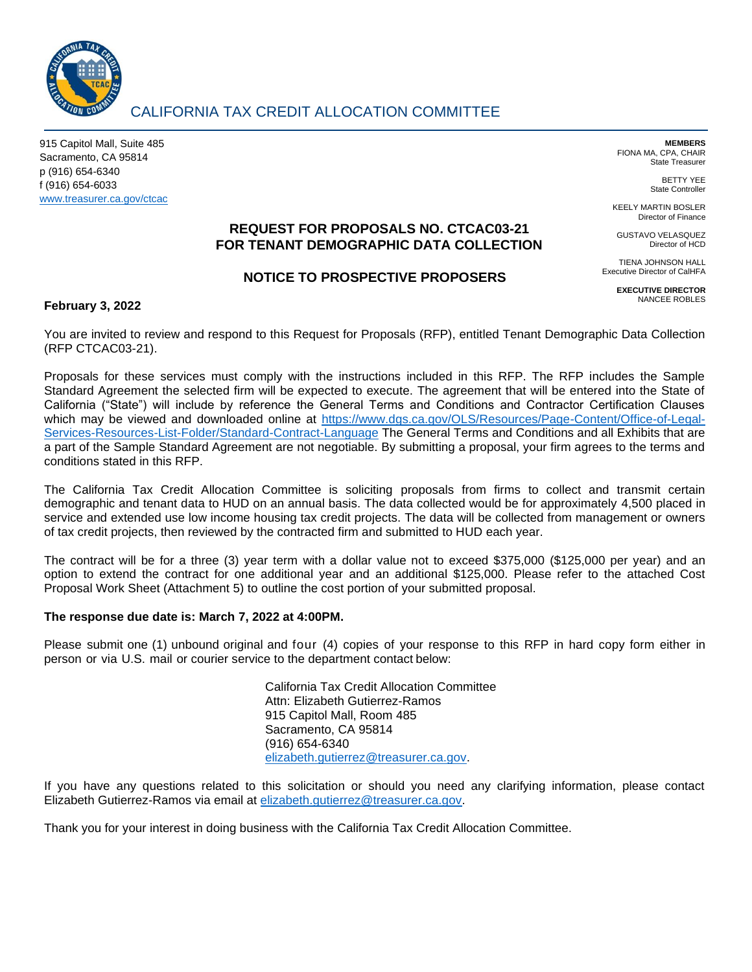

# CALIFORNIA TAX CREDIT ALLOCATION COMMITTEE

915 Capitol Mall, Suite 485 Sacramento, CA 95814 p (916) 654-6340 f (916) 654-6033 [www.treasurer.ca.gov/ctcac](http://www.treasurer.ca.gov/ctcac)

**MEMBERS** FIONA MA, CPA, CHAIR State Treasurer

> BETTY YEE State Controller

Director of HCD

KEELY MARTIN BOSLER Director of Finance GUSTAVO VELASQUEZ

## **REQUEST FOR PROPOSALS NO. CTCAC03-21 FOR TENANT DEMOGRAPHIC DATA COLLECTION**

## **NOTICE TO PROSPECTIVE PROPOSERS**

TIENA JOHNSON HALL Executive Director of CalHFA

**EXECUTIVE DIRECTOR** NANCEE ROBLES

## **February 3, 2022**

You are invited to review and respond to this Request for Proposals (RFP), entitled Tenant Demographic Data Collection (RFP CTCAC03-21).

Proposals for these services must comply with the instructions included in this RFP. The RFP includes the Sample Standard Agreement the selected firm will be expected to execute. The agreement that will be entered into the State of California ("State") will include by reference the General Terms and Conditions and Contractor Certification Clauses which may be viewed and downloaded online at [https://www.dgs.ca.gov/OLS/Resources/Page-Content/Office-of-Legal-](https://www.dgs.ca.gov/OLS/Resources/Page-Content/Office-of-Legal-Services-Resources-List-Folder/Standard-Contract-Language)[Services-Resources-List-Folder/Standard-Contract-Language](https://www.dgs.ca.gov/OLS/Resources/Page-Content/Office-of-Legal-Services-Resources-List-Folder/Standard-Contract-Language) The General Terms and Conditions and all Exhibits that are a part of the Sample Standard Agreement are not negotiable. By submitting a proposal, your firm agrees to the terms and conditions stated in this RFP.

The California Tax Credit Allocation Committee is soliciting proposals from firms to collect and transmit certain demographic and tenant data to HUD on an annual basis. The data collected would be for approximately 4,500 placed in service and extended use low income housing tax credit projects. The data will be collected from management or owners of tax credit projects, then reviewed by the contracted firm and submitted to HUD each year.

The contract will be for a three (3) year term with a dollar value not to exceed \$375,000 (\$125,000 per year) and an option to extend the contract for one additional year and an additional \$125,000. Please refer to the attached Cost Proposal Work Sheet (Attachment 5) to outline the cost portion of your submitted proposal.

#### **The response due date is: March 7, 2022 at 4:00PM.**

Please submit one (1) unbound original and four (4) copies of your response to this RFP in hard copy form either in person or via U.S. mail or courier service to the department contact below:

> California Tax Credit Allocation Committee Attn: Elizabeth Gutierrez-Ramos 915 Capitol Mall, Room 485 Sacramento, CA 95814 (916) 654-6340 [elizabeth.gutierrez@treasurer.ca.gov.](mailto:elizabeth.gutierrez@treasurer.ca.gov)

If you have any questions related to this solicitation or should you need any clarifying information, please contact Elizabeth Gutierrez-Ramos via email at [elizabeth.gutierrez@treasurer.ca.gov.](mailto:elizabeth.gutierrez@treasurer.ca.gov)

Thank you for your interest in doing business with the California Tax Credit Allocation Committee.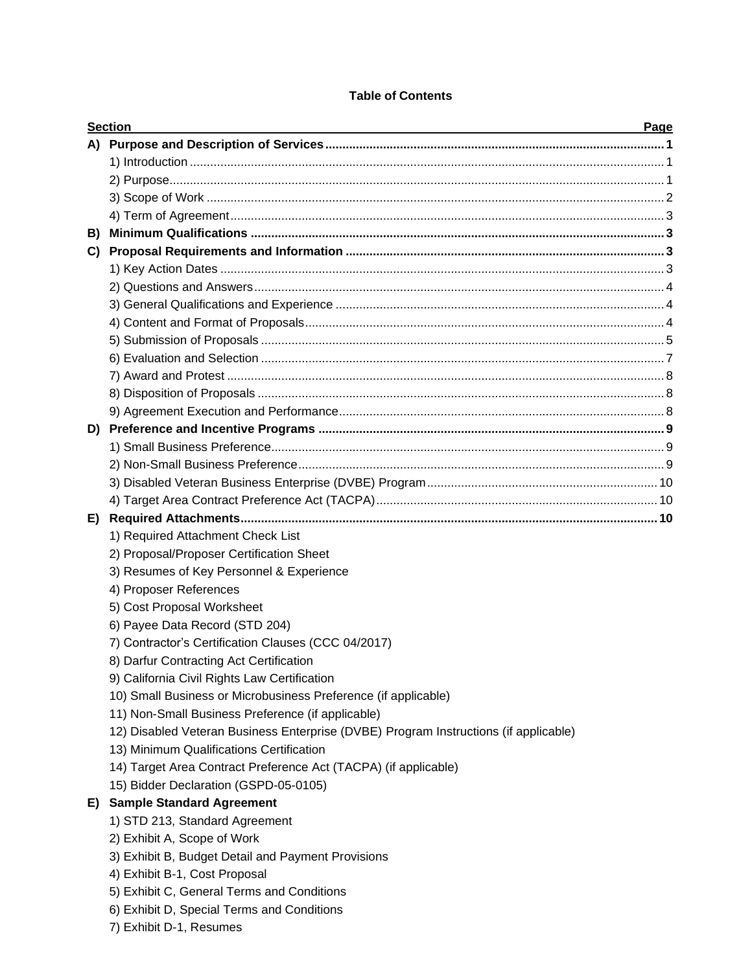## **Table of Contents**

|    | <b>Section</b>                                                                       | Page |
|----|--------------------------------------------------------------------------------------|------|
|    |                                                                                      |      |
|    |                                                                                      |      |
|    |                                                                                      |      |
|    |                                                                                      |      |
|    |                                                                                      |      |
| B) |                                                                                      |      |
| C) |                                                                                      |      |
|    |                                                                                      |      |
|    |                                                                                      |      |
|    |                                                                                      |      |
|    |                                                                                      |      |
|    |                                                                                      |      |
|    |                                                                                      |      |
|    |                                                                                      |      |
|    |                                                                                      |      |
|    |                                                                                      |      |
|    |                                                                                      |      |
|    |                                                                                      |      |
|    |                                                                                      |      |
|    |                                                                                      |      |
|    |                                                                                      |      |
| E) |                                                                                      |      |
|    | 1) Required Attachment Check List                                                    |      |
|    | 2) Proposal/Proposer Certification Sheet                                             |      |
|    | 3) Resumes of Key Personnel & Experience                                             |      |
|    | 4) Proposer References                                                               |      |
|    | 5) Cost Proposal Worksheet                                                           |      |
|    | 6) Payee Data Record (STD 204)                                                       |      |
|    | 7) Contractor's Certification Clauses (CCC 04/2017)                                  |      |
|    | 8) Darfur Contracting Act Certification                                              |      |
|    | 9) California Civil Rights Law Certification                                         |      |
|    | 10) Small Business or Microbusiness Preference (if applicable)                       |      |
|    | 11) Non-Small Business Preference (if applicable)                                    |      |
|    | 12) Disabled Veteran Business Enterprise (DVBE) Program Instructions (if applicable) |      |
|    | 13) Minimum Qualifications Certification                                             |      |
|    | 14) Target Area Contract Preference Act (TACPA) (if applicable)                      |      |
|    | 15) Bidder Declaration (GSPD-05-0105)                                                |      |
| E) | <b>Sample Standard Agreement</b>                                                     |      |
|    | 1) STD 213, Standard Agreement                                                       |      |
|    | 2) Exhibit A, Scope of Work                                                          |      |
|    | 3) Exhibit B, Budget Detail and Payment Provisions                                   |      |
|    | 4) Exhibit B-1, Cost Proposal                                                        |      |
|    | 5) Exhibit C, General Terms and Conditions                                           |      |
|    | 6) Exhibit D, Special Terms and Conditions                                           |      |
|    |                                                                                      |      |
|    | 7) Exhibit D-1, Resumes                                                              |      |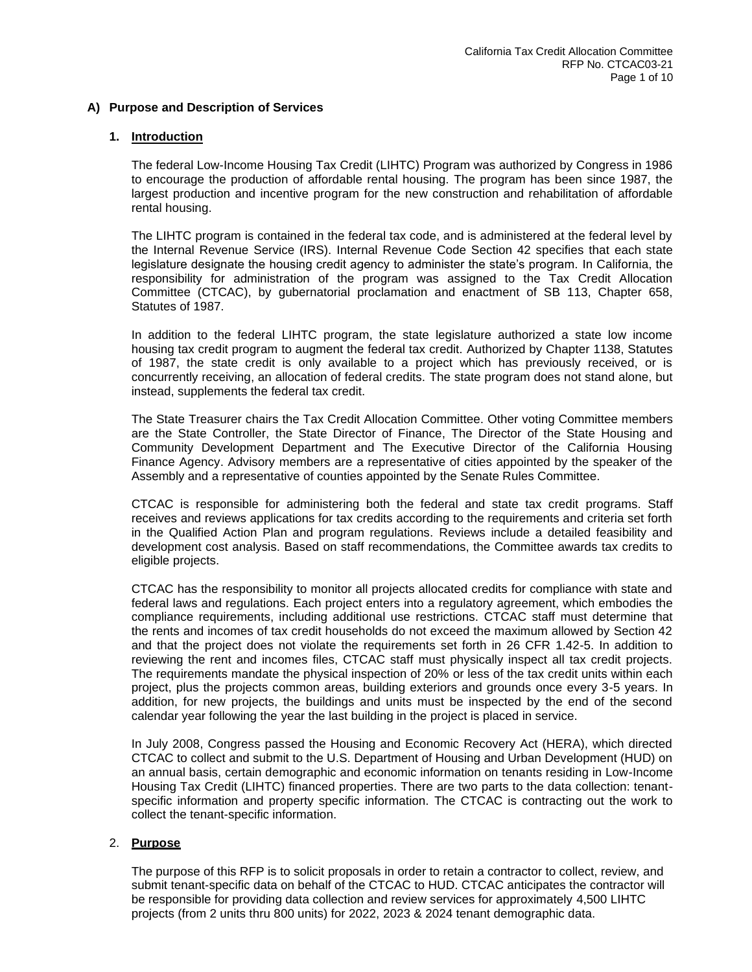## **A) Purpose and Description of Services**

#### **1. Introduction**

The federal Low-Income Housing Tax Credit (LIHTC) Program was authorized by Congress in 1986 to encourage the production of affordable rental housing. The program has been since 1987, the largest production and incentive program for the new construction and rehabilitation of affordable rental housing.

The LIHTC program is contained in the federal tax code, and is administered at the federal level by the Internal Revenue Service (IRS). Internal Revenue Code Section 42 specifies that each state legislature designate the housing credit agency to administer the state's program. In California, the responsibility for administration of the program was assigned to the Tax Credit Allocation Committee (CTCAC), by gubernatorial proclamation and enactment of SB 113, Chapter 658, Statutes of 1987.

In addition to the federal LIHTC program, the state legislature authorized a state low income housing tax credit program to augment the federal tax credit. Authorized by Chapter 1138, Statutes of 1987, the state credit is only available to a project which has previously received, or is concurrently receiving, an allocation of federal credits. The state program does not stand alone, but instead, supplements the federal tax credit.

The State Treasurer chairs the Tax Credit Allocation Committee. Other voting Committee members are the State Controller, the State Director of Finance, The Director of the State Housing and Community Development Department and The Executive Director of the California Housing Finance Agency. Advisory members are a representative of cities appointed by the speaker of the Assembly and a representative of counties appointed by the Senate Rules Committee.

CTCAC is responsible for administering both the federal and state tax credit programs. Staff receives and reviews applications for tax credits according to the requirements and criteria set forth in the Qualified Action Plan and program regulations. Reviews include a detailed feasibility and development cost analysis. Based on staff recommendations, the Committee awards tax credits to eligible projects.

CTCAC has the responsibility to monitor all projects allocated credits for compliance with state and federal laws and regulations. Each project enters into a regulatory agreement, which embodies the compliance requirements, including additional use restrictions. CTCAC staff must determine that the rents and incomes of tax credit households do not exceed the maximum allowed by Section 42 and that the project does not violate the requirements set forth in 26 CFR 1.42-5. In addition to reviewing the rent and incomes files, CTCAC staff must physically inspect all tax credit projects. The requirements mandate the physical inspection of 20% or less of the tax credit units within each project, plus the projects common areas, building exteriors and grounds once every 3-5 years. In addition, for new projects, the buildings and units must be inspected by the end of the second calendar year following the year the last building in the project is placed in service.

In July 2008, Congress passed the Housing and Economic Recovery Act (HERA), which directed CTCAC to collect and submit to the U.S. Department of Housing and Urban Development (HUD) on an annual basis, certain demographic and economic information on tenants residing in Low-Income Housing Tax Credit (LIHTC) financed properties. There are two parts to the data collection: tenantspecific information and property specific information. The CTCAC is contracting out the work to collect the tenant-specific information.

#### 2. **Purpose**

The purpose of this RFP is to solicit proposals in order to retain a contractor to collect, review, and submit tenant-specific data on behalf of the CTCAC to HUD. CTCAC anticipates the contractor will be responsible for providing data collection and review services for approximately 4,500 LIHTC projects (from 2 units thru 800 units) for 2022, 2023 & 2024 tenant demographic data.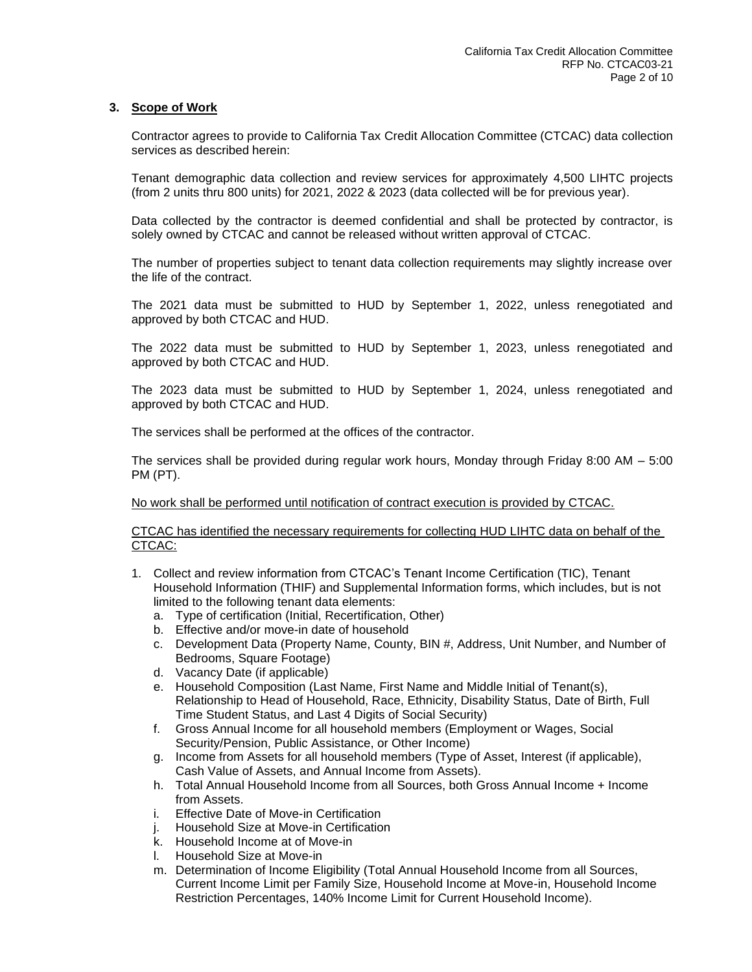## **3. Scope of Work**

Contractor agrees to provide to California Tax Credit Allocation Committee (CTCAC) data collection services as described herein:

Tenant demographic data collection and review services for approximately 4,500 LIHTC projects (from 2 units thru 800 units) for 2021, 2022 & 2023 (data collected will be for previous year).

Data collected by the contractor is deemed confidential and shall be protected by contractor, is solely owned by CTCAC and cannot be released without written approval of CTCAC.

The number of properties subject to tenant data collection requirements may slightly increase over the life of the contract.

The 2021 data must be submitted to HUD by September 1, 2022, unless renegotiated and approved by both CTCAC and HUD.

The 2022 data must be submitted to HUD by September 1, 2023, unless renegotiated and approved by both CTCAC and HUD.

The 2023 data must be submitted to HUD by September 1, 2024, unless renegotiated and approved by both CTCAC and HUD.

The services shall be performed at the offices of the contractor.

The services shall be provided during regular work hours, Monday through Friday 8:00 AM – 5:00 PM (PT).

No work shall be performed until notification of contract execution is provided by CTCAC.

CTCAC has identified the necessary requirements for collecting HUD LIHTC data on behalf of the CTCAC:

- 1. Collect and review information from CTCAC's Tenant Income Certification (TIC), Tenant Household Information (THIF) and Supplemental Information forms, which includes, but is not limited to the following tenant data elements:
	- a. Type of certification (Initial, Recertification, Other)
	- b. Effective and/or move-in date of household
	- c. Development Data (Property Name, County, BIN #, Address, Unit Number, and Number of Bedrooms, Square Footage)
	- d. Vacancy Date (if applicable)
	- e. Household Composition (Last Name, First Name and Middle Initial of Tenant(s), Relationship to Head of Household, Race, Ethnicity, Disability Status, Date of Birth, Full Time Student Status, and Last 4 Digits of Social Security)
	- f. Gross Annual Income for all household members (Employment or Wages, Social Security/Pension, Public Assistance, or Other Income)
	- g. Income from Assets for all household members (Type of Asset, Interest (if applicable), Cash Value of Assets, and Annual Income from Assets).
	- h. Total Annual Household Income from all Sources, both Gross Annual Income + Income from Assets.
	- i. Effective Date of Move-in Certification
	- j. Household Size at Move-in Certification
	- k. Household Income at of Move-in
	- l. Household Size at Move-in
	- m. Determination of Income Eligibility (Total Annual Household Income from all Sources, Current Income Limit per Family Size, Household Income at Move-in, Household Income Restriction Percentages, 140% Income Limit for Current Household Income).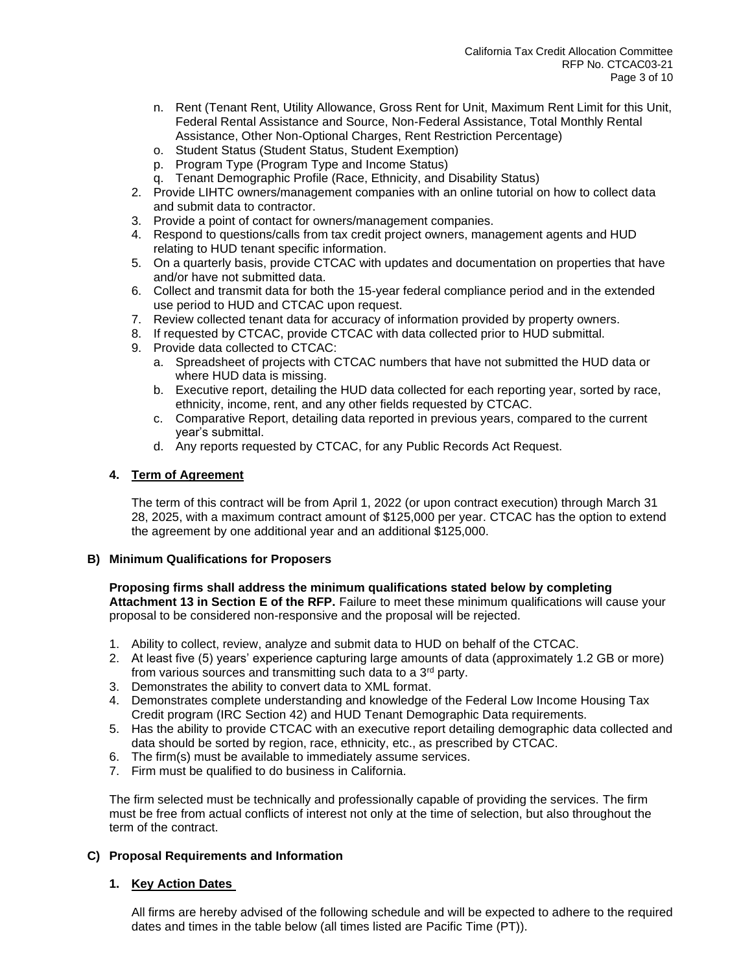- n. Rent (Tenant Rent, Utility Allowance, Gross Rent for Unit, Maximum Rent Limit for this Unit, Federal Rental Assistance and Source, Non-Federal Assistance, Total Monthly Rental Assistance, Other Non-Optional Charges, Rent Restriction Percentage)
- o. Student Status (Student Status, Student Exemption)
- p. Program Type (Program Type and Income Status)
- q. Tenant Demographic Profile (Race, Ethnicity, and Disability Status)
- 2. Provide LIHTC owners/management companies with an online tutorial on how to collect data and submit data to contractor.
- 3. Provide a point of contact for owners/management companies.
- 4. Respond to questions/calls from tax credit project owners, management agents and HUD relating to HUD tenant specific information.
- 5. On a quarterly basis, provide CTCAC with updates and documentation on properties that have and/or have not submitted data.
- 6. Collect and transmit data for both the 15-year federal compliance period and in the extended use period to HUD and CTCAC upon request.
- 7. Review collected tenant data for accuracy of information provided by property owners.
- 8. If requested by CTCAC, provide CTCAC with data collected prior to HUD submittal.
- 9. Provide data collected to CTCAC:
	- a. Spreadsheet of projects with CTCAC numbers that have not submitted the HUD data or where HUD data is missing.
	- b. Executive report, detailing the HUD data collected for each reporting year, sorted by race, ethnicity, income, rent, and any other fields requested by CTCAC.
	- c. Comparative Report, detailing data reported in previous years, compared to the current year's submittal.
	- d. Any reports requested by CTCAC, for any Public Records Act Request.

## **4. Term of Agreement**

The term of this contract will be from April 1, 2022 (or upon contract execution) through March 31 28, 2025, with a maximum contract amount of \$125,000 per year. CTCAC has the option to extend the agreement by one additional year and an additional \$125,000.

#### **B) Minimum Qualifications for Proposers**

#### **Proposing firms shall address the minimum qualifications stated below by completing Attachment 13 in Section E of the RFP.** Failure to meet these minimum qualifications will cause your proposal to be considered non-responsive and the proposal will be rejected.

- 1. Ability to collect, review, analyze and submit data to HUD on behalf of the CTCAC.
- 2. At least five (5) years' experience capturing large amounts of data (approximately 1.2 GB or more) from various sources and transmitting such data to a 3<sup>rd</sup> party.
- 3. Demonstrates the ability to convert data to XML format.
- 4. Demonstrates complete understanding and knowledge of the Federal Low Income Housing Tax Credit program (IRC Section 42) and HUD Tenant Demographic Data requirements.
- 5. Has the ability to provide CTCAC with an executive report detailing demographic data collected and data should be sorted by region, race, ethnicity, etc., as prescribed by CTCAC.
- 6. The firm(s) must be available to immediately assume services.
- 7. Firm must be qualified to do business in California.

The firm selected must be technically and professionally capable of providing the services. The firm must be free from actual conflicts of interest not only at the time of selection, but also throughout the term of the contract.

#### **C) Proposal Requirements and Information**

## **1. Key Action Dates**

All firms are hereby advised of the following schedule and will be expected to adhere to the required dates and times in the table below (all times listed are Pacific Time (PT)).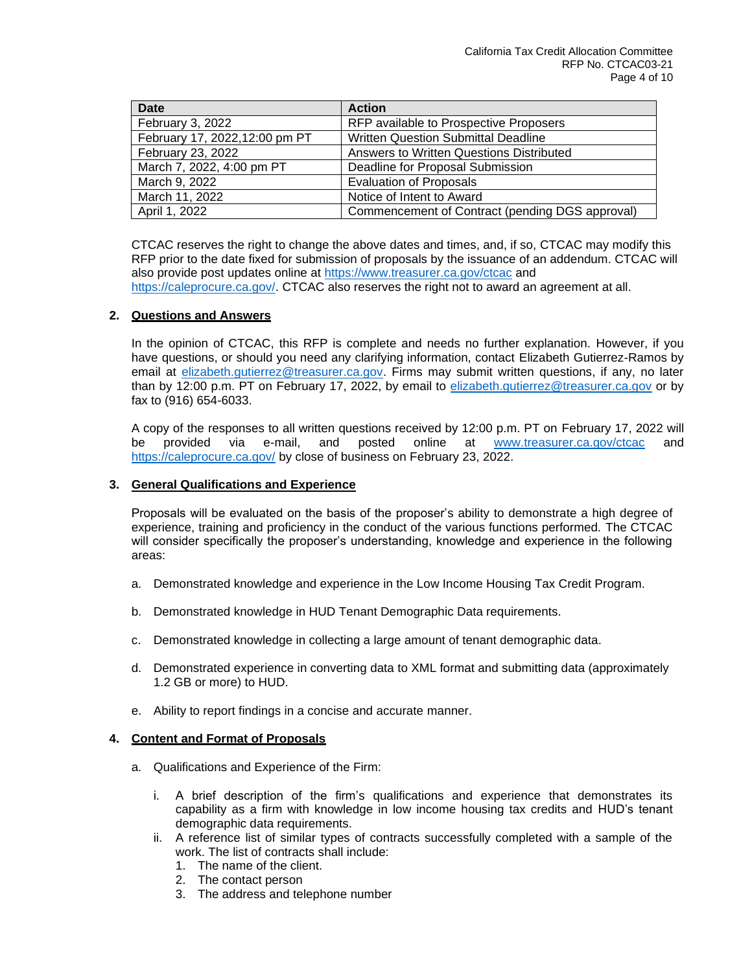| <b>Date</b>                    | <b>Action</b>                                   |
|--------------------------------|-------------------------------------------------|
| February 3, 2022               | RFP available to Prospective Proposers          |
| February 17, 2022, 12:00 pm PT | <b>Written Question Submittal Deadline</b>      |
| February 23, 2022              | Answers to Written Questions Distributed        |
| March 7, 2022, 4:00 pm PT      | Deadline for Proposal Submission                |
| March 9, 2022                  | <b>Evaluation of Proposals</b>                  |
| March 11, 2022                 | Notice of Intent to Award                       |
| April 1, 2022                  | Commencement of Contract (pending DGS approval) |

CTCAC reserves the right to change the above dates and times, and, if so, CTCAC may modify this RFP prior to the date fixed for submission of proposals by the issuance of an addendum. CTCAC will also provide post updates online at<https://www.treasurer.ca.gov/ctcac> and [https://caleprocure.ca.gov/.](https://caleprocure.ca.gov/) CTCAC also reserves the right not to award an agreement at all.

## **2. Questions and Answers**

In the opinion of CTCAC, this RFP is complete and needs no further explanation. However, if you have questions, or should you need any clarifying information, contact Elizabeth Gutierrez-Ramos by email at [elizabeth.gutierrez@treasurer.ca.gov.](mailto:elizabeth.gutierrez@treasurer.ca.gov) Firms may submit written questions, if any, no later than by 12:00 p.m. PT on February 17, 2022, by email to [elizabeth.gutierrez@treasurer.ca.gov](mailto:elizabeth.gutierrez@treasurer.ca.gov) or by fax to (916) 654-6033.

A copy of the responses to all written questions received by 12:00 p.m. PT on February 17, 2022 will be provided via e-mail, and posted online at [www.treasurer.ca.gov/ctcac](http://www.treasurer.ca.gov/ctcac) and <https://caleprocure.ca.gov/> by close of business on February 23, 2022.

## **3. General Qualifications and Experience**

Proposals will be evaluated on the basis of the proposer's ability to demonstrate a high degree of experience, training and proficiency in the conduct of the various functions performed. The CTCAC will consider specifically the proposer's understanding, knowledge and experience in the following areas:

- a. Demonstrated knowledge and experience in the Low Income Housing Tax Credit Program.
- b. Demonstrated knowledge in HUD Tenant Demographic Data requirements.
- c. Demonstrated knowledge in collecting a large amount of tenant demographic data.
- d. Demonstrated experience in converting data to XML format and submitting data (approximately 1.2 GB or more) to HUD.
- e. Ability to report findings in a concise and accurate manner.

#### **4. Content and Format of Proposals**

- a. Qualifications and Experience of the Firm:
	- i. A brief description of the firm's qualifications and experience that demonstrates its capability as a firm with knowledge in low income housing tax credits and HUD's tenant demographic data requirements.
	- ii. A reference list of similar types of contracts successfully completed with a sample of the work. The list of contracts shall include:
		- 1. The name of the client.
		- 2. The contact person
		- 3. The address and telephone number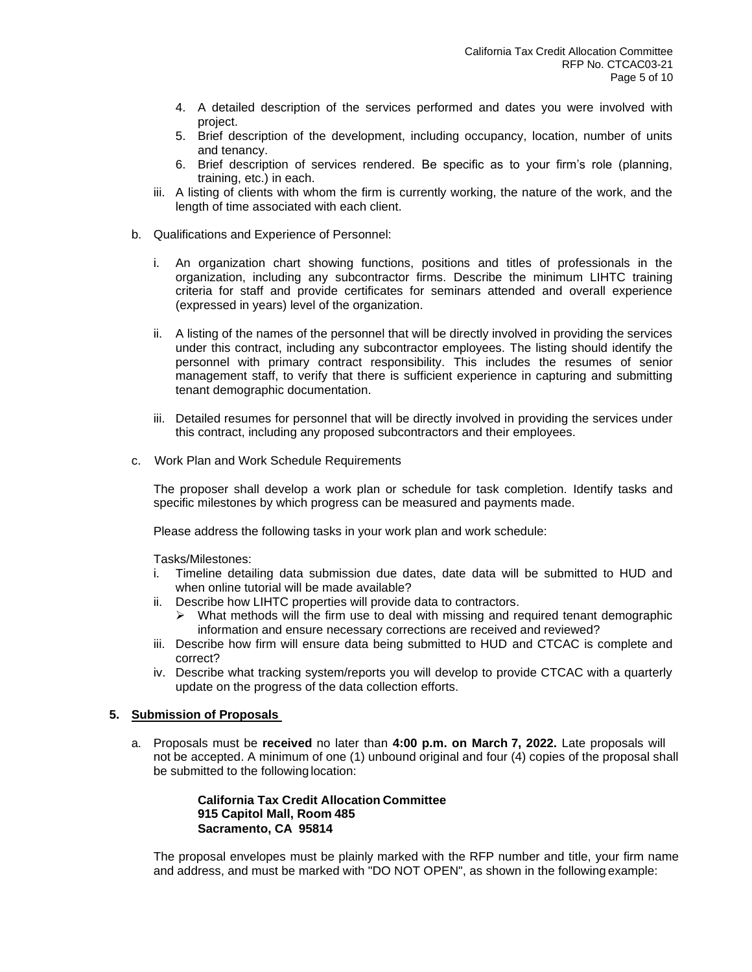- 4. A detailed description of the services performed and dates you were involved with project.
- 5. Brief description of the development, including occupancy, location, number of units and tenancy.
- 6. Brief description of services rendered. Be specific as to your firm's role (planning, training, etc.) in each.
- iii. A listing of clients with whom the firm is currently working, the nature of the work, and the length of time associated with each client.
- b. Qualifications and Experience of Personnel:
	- i. An organization chart showing functions, positions and titles of professionals in the organization, including any subcontractor firms. Describe the minimum LIHTC training criteria for staff and provide certificates for seminars attended and overall experience (expressed in years) level of the organization.
	- ii. A listing of the names of the personnel that will be directly involved in providing the services under this contract, including any subcontractor employees. The listing should identify the personnel with primary contract responsibility. This includes the resumes of senior management staff, to verify that there is sufficient experience in capturing and submitting tenant demographic documentation.
	- iii. Detailed resumes for personnel that will be directly involved in providing the services under this contract, including any proposed subcontractors and their employees.
- c. Work Plan and Work Schedule Requirements

The proposer shall develop a work plan or schedule for task completion. Identify tasks and specific milestones by which progress can be measured and payments made.

Please address the following tasks in your work plan and work schedule:

Tasks/Milestones:

- i. Timeline detailing data submission due dates, date data will be submitted to HUD and when online tutorial will be made available?
- ii. Describe how LIHTC properties will provide data to contractors.
	- What methods will the firm use to deal with missing and required tenant demographic information and ensure necessary corrections are received and reviewed?
- iii. Describe how firm will ensure data being submitted to HUD and CTCAC is complete and correct?
- iv. Describe what tracking system/reports you will develop to provide CTCAC with a quarterly update on the progress of the data collection efforts.

## **5. Submission of Proposals**

a. Proposals must be **received** no later than **4:00 p.m. on March 7, 2022.** Late proposals will not be accepted. A minimum of one (1) unbound original and four (4) copies of the proposal shall be submitted to the following location:

## **California Tax Credit Allocation Committee 915 Capitol Mall, Room 485 Sacramento, CA 95814**

The proposal envelopes must be plainly marked with the RFP number and title, your firm name and address, and must be marked with "DO NOT OPEN", as shown in the following example: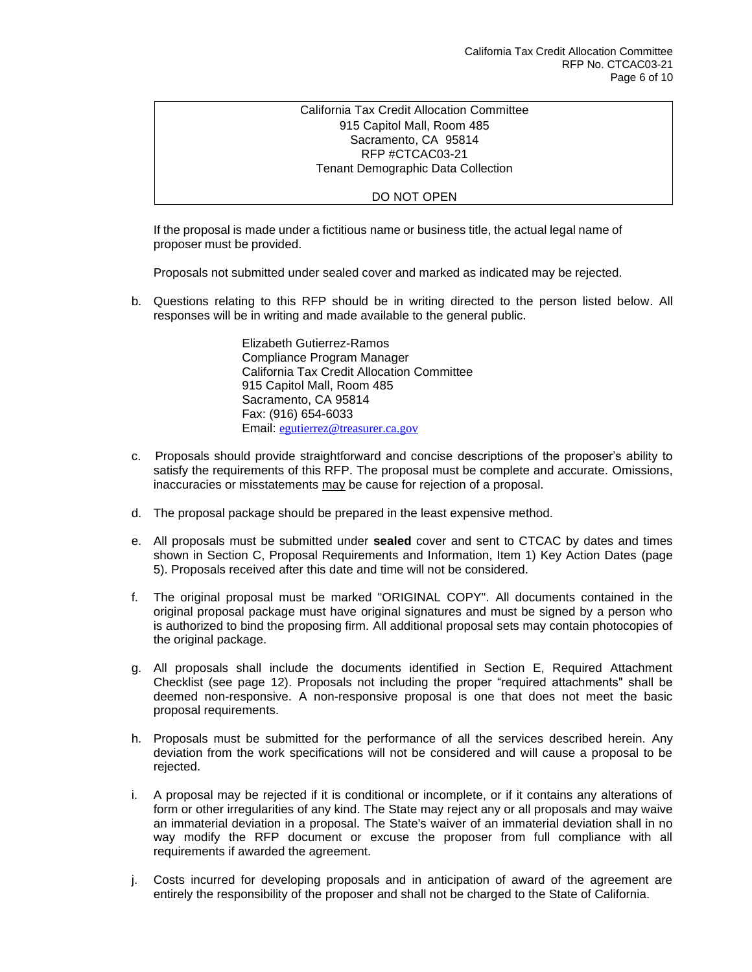## California Tax Credit Allocation Committee 915 Capitol Mall, Room 485 Sacramento, CA 95814 RFP #CTCAC03-21 Tenant Demographic Data Collection

#### DO NOT OPEN

If the proposal is made under a fictitious name or business title, the actual legal name of proposer must be provided.

Proposals not submitted under sealed cover and marked as indicated may be rejected.

b. Questions relating to this RFP should be in writing directed to the person listed below. All responses will be in writing and made available to the general public.

> Elizabeth Gutierrez-Ramos Compliance Program Manager California Tax Credit Allocation Committee 915 Capitol Mall, Room 485 Sacramento, CA 95814 Fax: (916) 654-6033 Email: [egutierrez@treasurer.ca.gov](mailto:egutierrez@treasurer.ca.gov)

- c. Proposals should provide straightforward and concise descriptions of the proposer's ability to satisfy the requirements of this RFP. The proposal must be complete and accurate. Omissions, inaccuracies or misstatements may be cause for rejection of a proposal.
- d. The proposal package should be prepared in the least expensive method.
- e. All proposals must be submitted under **sealed** cover and sent to CTCAC by dates and times shown in Section C, Proposal Requirements and Information, Item 1) Key Action Dates (page 5). Proposals received after this date and time will not be considered.
- f. The original proposal must be marked "ORIGINAL COPY". All documents contained in the original proposal package must have original signatures and must be signed by a person who is authorized to bind the proposing firm. All additional proposal sets may contain photocopies of the original package.
- g. All proposals shall include the documents identified in Section E, Required Attachment Checklist (see page 12). Proposals not including the proper "required attachments" shall be deemed non-responsive. A non-responsive proposal is one that does not meet the basic proposal requirements.
- h. Proposals must be submitted for the performance of all the services described herein. Any deviation from the work specifications will not be considered and will cause a proposal to be rejected.
- i. A proposal may be rejected if it is conditional or incomplete, or if it contains any alterations of form or other irregularities of any kind. The State may reject any or all proposals and may waive an immaterial deviation in a proposal. The State's waiver of an immaterial deviation shall in no way modify the RFP document or excuse the proposer from full compliance with all requirements if awarded the agreement.
- j. Costs incurred for developing proposals and in anticipation of award of the agreement are entirely the responsibility of the proposer and shall not be charged to the State of California.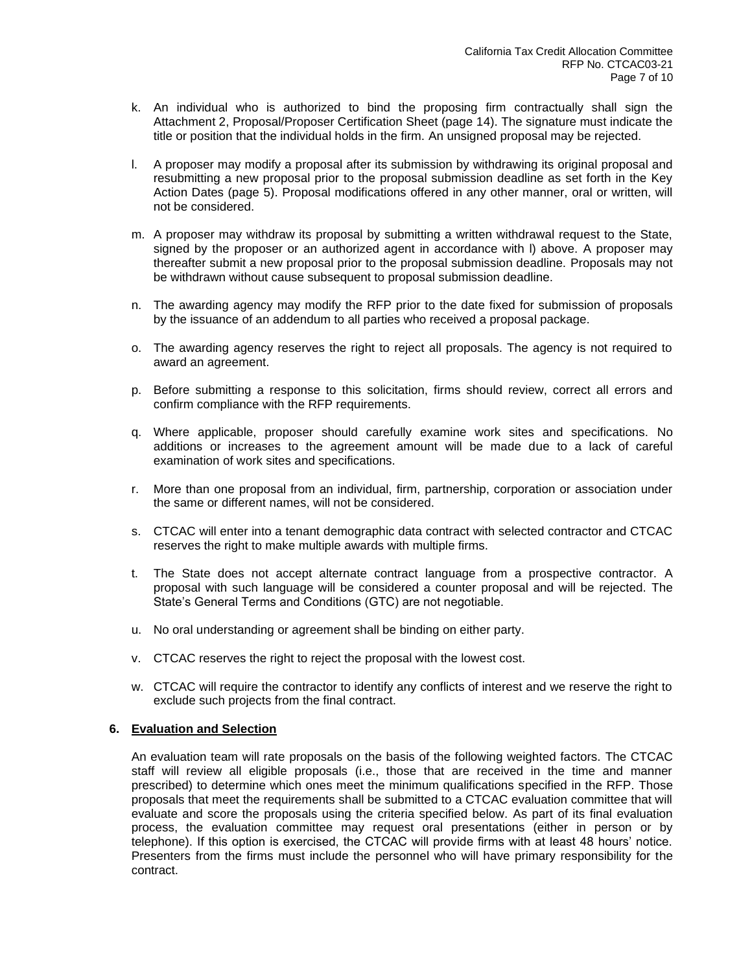- k. An individual who is authorized to bind the proposing firm contractually shall sign the Attachment 2, Proposal/Proposer Certification Sheet (page 14). The signature must indicate the title or position that the individual holds in the firm. An unsigned proposal may be rejected.
- l. A proposer may modify a proposal after its submission by withdrawing its original proposal and resubmitting a new proposal prior to the proposal submission deadline as set forth in the Key Action Dates (page 5). Proposal modifications offered in any other manner, oral or written, will not be considered.
- m. A proposer may withdraw its proposal by submitting a written withdrawal request to the State, signed by the proposer or an authorized agent in accordance with l) above. A proposer may thereafter submit a new proposal prior to the proposal submission deadline. Proposals may not be withdrawn without cause subsequent to proposal submission deadline.
- n. The awarding agency may modify the RFP prior to the date fixed for submission of proposals by the issuance of an addendum to all parties who received a proposal package.
- o. The awarding agency reserves the right to reject all proposals. The agency is not required to award an agreement.
- p. Before submitting a response to this solicitation, firms should review, correct all errors and confirm compliance with the RFP requirements.
- q. Where applicable, proposer should carefully examine work sites and specifications. No additions or increases to the agreement amount will be made due to a lack of careful examination of work sites and specifications.
- r. More than one proposal from an individual, firm, partnership, corporation or association under the same or different names, will not be considered.
- s. CTCAC will enter into a tenant demographic data contract with selected contractor and CTCAC reserves the right to make multiple awards with multiple firms.
- t. The State does not accept alternate contract language from a prospective contractor. A proposal with such language will be considered a counter proposal and will be rejected. The State's General Terms and Conditions (GTC) are not negotiable.
- u. No oral understanding or agreement shall be binding on either party.
- v. CTCAC reserves the right to reject the proposal with the lowest cost.
- w. CTCAC will require the contractor to identify any conflicts of interest and we reserve the right to exclude such projects from the final contract.

## **6. Evaluation and Selection**

An evaluation team will rate proposals on the basis of the following weighted factors. The CTCAC staff will review all eligible proposals (i.e., those that are received in the time and manner prescribed) to determine which ones meet the minimum qualifications specified in the RFP. Those proposals that meet the requirements shall be submitted to a CTCAC evaluation committee that will evaluate and score the proposals using the criteria specified below. As part of its final evaluation process, the evaluation committee may request oral presentations (either in person or by telephone). If this option is exercised, the CTCAC will provide firms with at least 48 hours' notice. Presenters from the firms must include the personnel who will have primary responsibility for the contract.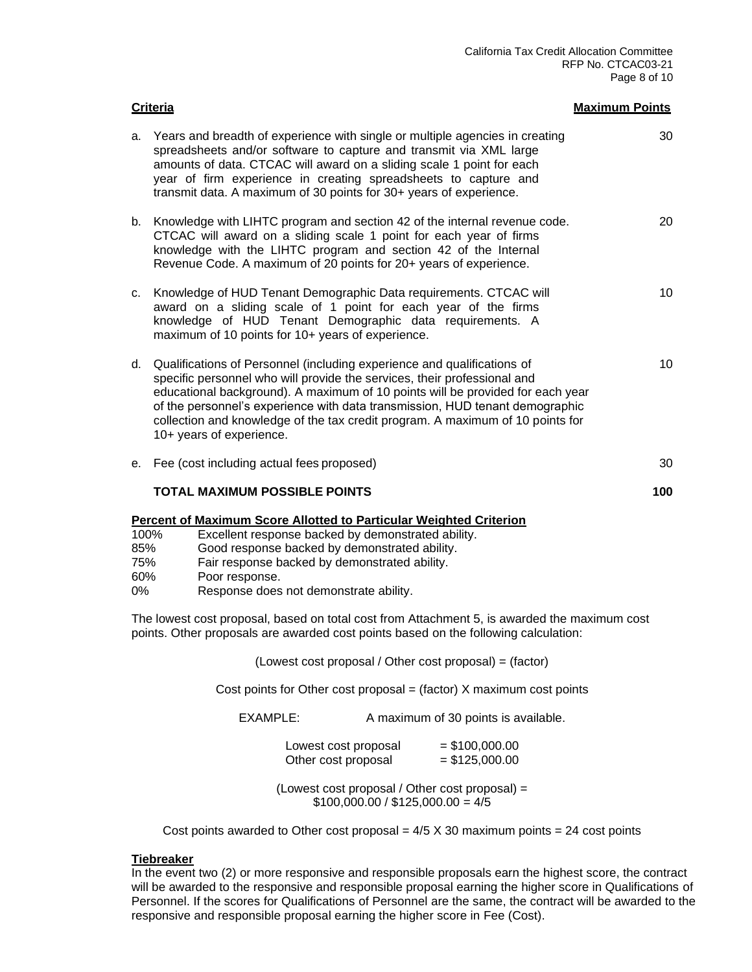|                                 | <b>Criteria</b>                                                                                                                                                                                                                                                                                                                                                                                                                                                                      | <b>Maximum Points</b> |
|---------------------------------|--------------------------------------------------------------------------------------------------------------------------------------------------------------------------------------------------------------------------------------------------------------------------------------------------------------------------------------------------------------------------------------------------------------------------------------------------------------------------------------|-----------------------|
| a.                              | Years and breadth of experience with single or multiple agencies in creating<br>spreadsheets and/or software to capture and transmit via XML large<br>amounts of data. CTCAC will award on a sliding scale 1 point for each<br>year of firm experience in creating spreadsheets to capture and<br>transmit data. A maximum of 30 points for 30+ years of experience.                                                                                                                 | 30                    |
|                                 | b. Knowledge with LIHTC program and section 42 of the internal revenue code.<br>CTCAC will award on a sliding scale 1 point for each year of firms<br>knowledge with the LIHTC program and section 42 of the Internal<br>Revenue Code. A maximum of 20 points for 20+ years of experience.                                                                                                                                                                                           | 20                    |
| C.                              | Knowledge of HUD Tenant Demographic Data requirements. CTCAC will<br>award on a sliding scale of 1 point for each year of the firms<br>knowledge of HUD Tenant Demographic data requirements. A<br>maximum of 10 points for 10+ years of experience.                                                                                                                                                                                                                                 | 10 <sup>°</sup>       |
|                                 | d. Qualifications of Personnel (including experience and qualifications of<br>specific personnel who will provide the services, their professional and<br>educational background). A maximum of 10 points will be provided for each year<br>of the personnel's experience with data transmission, HUD tenant demographic<br>collection and knowledge of the tax credit program. A maximum of 10 points for<br>10+ years of experience.                                               | 10                    |
|                                 | e. Fee (cost including actual fees proposed)                                                                                                                                                                                                                                                                                                                                                                                                                                         | 30                    |
|                                 | <b>TOTAL MAXIMUM POSSIBLE POINTS</b>                                                                                                                                                                                                                                                                                                                                                                                                                                                 | 100                   |
| 100%<br>85%<br>75%<br>60%<br>0% | <b>Percent of Maximum Score Allotted to Particular Weighted Criterion</b><br>Excellent response backed by demonstrated ability.<br>Good response backed by demonstrated ability.<br>Fair response backed by demonstrated ability.<br>Poor response.<br>Response does not demonstrate ability.<br>The lowest cost proposal, based on total cost from Attachment 5, is awarded the maximum cost<br>points. Other proposals are awarded cost points based on the following calculation: |                       |
|                                 | (Lowest cost proposal / Other cost proposal) = (factor)                                                                                                                                                                                                                                                                                                                                                                                                                              |                       |

Cost points for Other cost proposal  $=$  (factor)  $X$  maximum cost points

EXAMPLE: A maximum of 30 points is available.

| Lowest cost proposal | $=$ \$100,000.00 |
|----------------------|------------------|
| Other cost proposal  | $=$ \$125,000.00 |

(Lowest cost proposal / Other cost proposal) =  $$100,000.00 / $125,000.00 = 4/5$ 

Cost points awarded to Other cost proposal =  $4/5$  X 30 maximum points = 24 cost points

## **Tiebreaker**

In the event two (2) or more responsive and responsible proposals earn the highest score, the contract will be awarded to the responsive and responsible proposal earning the higher score in Qualifications of Personnel. If the scores for Qualifications of Personnel are the same, the contract will be awarded to the responsive and responsible proposal earning the higher score in Fee (Cost).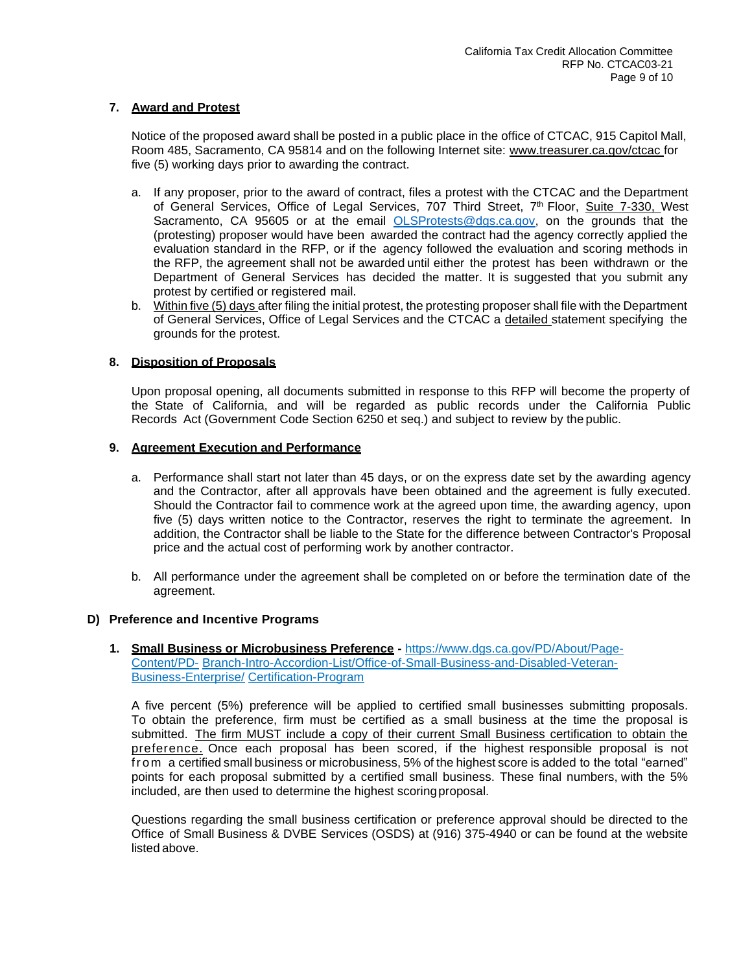## **7. Award and Protest**

Notice of the proposed award shall be posted in a public place in the office of CTCAC, 915 Capitol Mall, Room 485, Sacramento, CA 95814 and on the following Internet site: [www.treasurer.ca.gov/ctcac f](http://www.treasurer.ca.gov/ctcac)or five (5) working days prior to awarding the contract.

- a. If any proposer, prior to the award of contract, files a protest with the CTCAC and the Department of General Services, Office of Legal Services, 707 Third Street, 7<sup>th</sup> Floor, <u>Suite 7-330, W</u>est Sacramento, CA 95605 or at the email [OLSProtests@dgs.ca.gov,](mailto:OLSProtests@dgs.ca.gov) on the grounds that the (protesting) proposer would have been awarded the contract had the agency correctly applied the evaluation standard in the RFP, or if the agency followed the evaluation and scoring methods in the RFP, the agreement shall not be awarded until either the protest has been withdrawn or the Department of General Services has decided the matter. It is suggested that you submit any protest by certified or registered mail.
- b. Within five (5) days after filing the initial protest, the protesting proposer shall file with the Department of General Services, Office of Legal Services and the CTCAC a detailed statement specifying the grounds for the protest.

## **8. Disposition of Proposals**

Upon proposal opening, all documents submitted in response to this RFP will become the property of the State of California, and will be regarded as public records under the California Public Records Act (Government Code Section 6250 et seq.) and subject to review by the public.

#### **9. Agreement Execution and Performance**

- a. Performance shall start not later than 45 days, or on the express date set by the awarding agency and the Contractor, after all approvals have been obtained and the agreement is fully executed. Should the Contractor fail to commence work at the agreed upon time, the awarding agency, upon five (5) days written notice to the Contractor, reserves the right to terminate the agreement. In addition, the Contractor shall be liable to the State for the difference between Contractor's Proposal price and the actual cost of performing work by another contractor.
- b. All performance under the agreement shall be completed on or before the termination date of the agreement.

#### **D) Preference and Incentive Programs**

**1. [Small Business or Microbusiness Preference](https://www.dgs.ca.gov/PD/About/Page-Content/PD-Branch-Intro-Accordion-List/Office-of-Small-Business-and-Disabled-Veteran-Business-Enterprise/Certification-Program) -** https://www.dgs.ca.gov/PD/About/Page-Content/PD- [Branch-Intro-Accordion-List/Office-of-Small-Business-and-Disabled-Veteran-](https://www.dgs.ca.gov/PD/About/Page-Content/PD-Branch-Intro-Accordion-List/Office-of-Small-Business-and-Disabled-Veteran-Business-Enterprise/Certification-Program)Business-Enterprise/ [Certification-Program](https://www.dgs.ca.gov/PD/About/Page-Content/PD-Branch-Intro-Accordion-List/Office-of-Small-Business-and-Disabled-Veteran-Business-Enterprise/Certification-Program)

A five percent (5%) preference will be applied to certified small businesses submitting proposals. To obtain the preference, firm must be certified as a small business at the time the proposal is submitted. The firm MUST include a copy of their current Small Business certification to obtain the preference. Once each proposal has been scored, if the highest responsible proposal is not from a certified small business or microbusiness, 5% of the highest score is added to the total "earned" points for each proposal submitted by a certified small business. These final numbers, with the 5% included, are then used to determine the highest scoringproposal.

Questions regarding the small business certification or preference approval should be directed to the Office of Small Business & DVBE Services (OSDS) at (916) 375-4940 or can be found at the website listed above.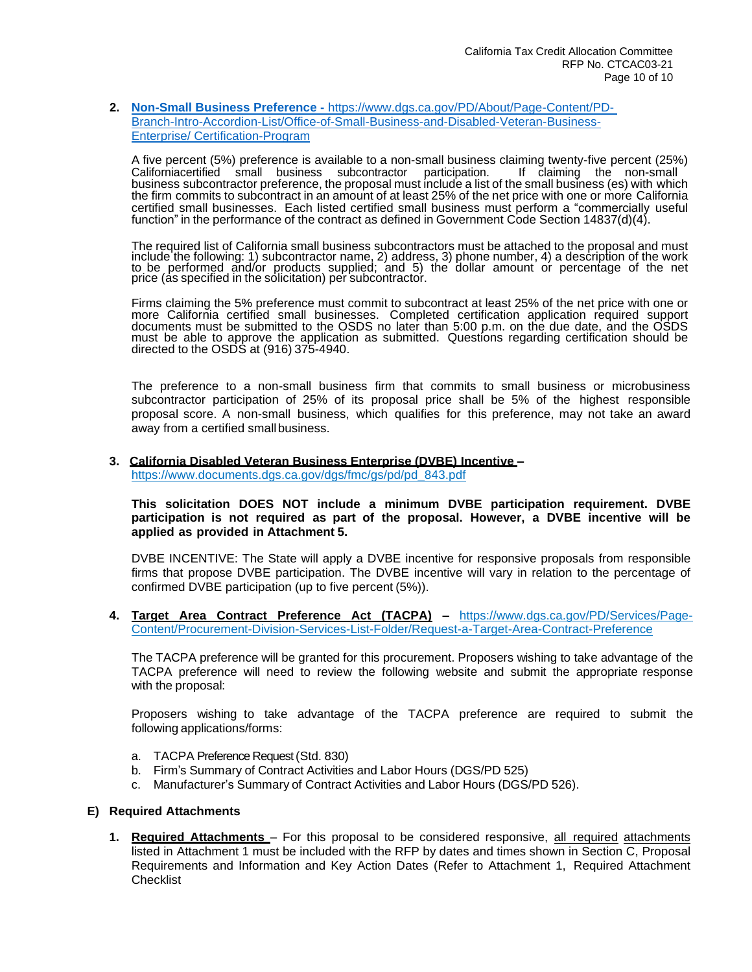#### **2. Non-Small Business Preference -** [https://www.dgs.ca.gov/PD/About/Page-Content/PD-](file:///C:/Users/APeters/AppData/Local/Microsoft/Windows/INetCache/Content.Outlook/AZXJLDT1/Non-Small%20Business%20Preference%20-%20https:/www.dgs.ca.gov/PD/About/Page-Content/PD-%20Branch-Intro-Accordion-List/Office-of-Small-Business-and-Disabled-Veteran-Business-Enterprise/%20Certification-Program)[Branch-Intro-Accordion-List/Office-of-Small-Business-and-Disabled-Veteran-Business-](file:///C:/Users/APeters/AppData/Local/Microsoft/Windows/INetCache/Content.Outlook/AZXJLDT1/Non-Small%20Business%20Preference%20-%20https:/www.dgs.ca.gov/PD/About/Page-Content/PD-%20Branch-Intro-Accordion-List/Office-of-Small-Business-and-Disabled-Veteran-Business-Enterprise/%20Certification-Program)Enterprise/ [Certification-Program](file:///C:/Users/APeters/AppData/Local/Microsoft/Windows/INetCache/Content.Outlook/AZXJLDT1/Non-Small%20Business%20Preference%20-%20https:/www.dgs.ca.gov/PD/About/Page-Content/PD-%20Branch-Intro-Accordion-List/Office-of-Small-Business-and-Disabled-Veteran-Business-Enterprise/%20Certification-Program)

A five percent (5%) preference is available to a non-small business claiming twenty-five percent (25%) californiacertified small business subcontractor business subcontractor preference, the proposal must include a list of the small business (es) with which the firm commits to subcontract in an amount of at least 25% of the net price with one or more California certified small businesses. Each listed certified small business must perform a "commercially useful function" in the performance of the contract as defined in Government Code Section 14837(d)(4).

The required list of California small business subcontractors must be attached to the proposal and must include the following: 1) subcontractor name, 2) address, 3) phone number, 4) a description of the work to be performed and/or products supplied; and 5) the dollar amount or percentage of the net price (as specified in the solicitation) per subcontractor.

Firms claiming the 5% preference must commit to subcontract at least 25% of the net price with one or more California certified small businesses. Completed certification application required support documents must be submitted to the OSDS no later than 5:00 p.m. on the due date, and the OSDS must be able to approve the application as submitted. Questions regarding certification should be directed to the OSDS at (916) 375-4940.

The preference to a non-small business firm that commits to small business or microbusiness subcontractor participation of 25% of its proposal price shall be 5% of the highest responsible proposal score. A non-small business, which qualifies for this preference, may not take an award away from a certified smallbusiness.

#### **3. California Disabled Veteran Business Enterprise (DVBE) Incentive –** [https://www.documents.dgs.ca.gov/dgs/fmc/gs/pd/pd\\_843.pdf](http://www.documents.dgs.ca.gov/dgs/fmc/gs/pd/pd_843.pdf)

**This solicitation DOES NOT include a minimum DVBE participation requirement. DVBE participation is not required as part of the proposal. However, a DVBE incentive will be applied as provided in Attachment 5.**

DVBE INCENTIVE: The State will apply a DVBE incentive for responsive proposals from responsible firms that propose DVBE participation. The DVBE incentive will vary in relation to the percentage of confirmed DVBE participation (up to five percent (5%)).

**4. Target Area Contract Preference Act (TACPA) –** [https://www.dgs.ca.gov/PD/Services/Page-](https://www.dgs.ca.gov/PD/Services/Page-Content/Procurement-Division-Services-List-Folder/Request-a-Target-Area-Contract-Preference)[Content/Procurement-Division-Services-List-Folder/Request-a-Target-Area-Contract-Preference](https://www.dgs.ca.gov/PD/Services/Page-Content/Procurement-Division-Services-List-Folder/Request-a-Target-Area-Contract-Preference)

The TACPA preference will be granted for this procurement. Proposers wishing to take advantage of the TACPA preference will need to review the following website and submit the appropriate response with the proposal:

Proposers wishing to take advantage of the TACPA preference are required to submit the following applications/forms:

- a. TACPA Preference Request (Std. 830)
- b. Firm's Summary of Contract Activities and Labor Hours (DGS/PD 525)
- c. Manufacturer's Summary of Contract Activities and Labor Hours (DGS/PD 526).

#### **E) Required Attachments**

**1. Required Attachments** – For this proposal to be considered responsive, all required attachments listed in Attachment 1 must be included with the RFP by dates and times shown in Section C, Proposal Requirements and Information and Key Action Dates (Refer to Attachment 1, Required Attachment **Checklist**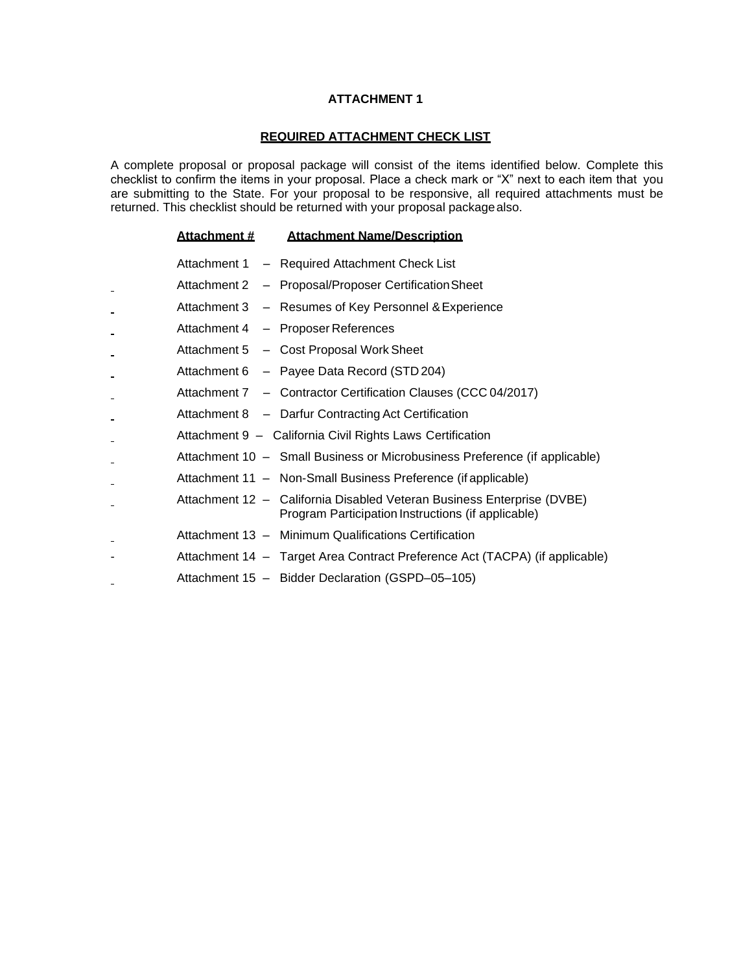#### **REQUIRED ATTACHMENT CHECK LIST**

A complete proposal or proposal package will consist of the items identified below. Complete this checklist to confirm the items in your proposal. Place a check mark or "X" next to each item that you are submitting to the State. For your proposal to be responsive, all required attachments must be returned. This checklist should be returned with your proposal packagealso.

| Attachment # | <b>Attachment Name/Description</b>                                                                                           |
|--------------|------------------------------------------------------------------------------------------------------------------------------|
|              | Attachment 1 - Required Attachment Check List                                                                                |
|              | Attachment 2 - Proposal/Proposer Certification Sheet                                                                         |
|              | Attachment 3 - Resumes of Key Personnel & Experience                                                                         |
|              | Attachment 4 - Proposer References                                                                                           |
|              | Attachment 5 - Cost Proposal Work Sheet                                                                                      |
|              | Attachment 6 - Payee Data Record (STD 204)                                                                                   |
|              | Attachment 7 - Contractor Certification Clauses (CCC 04/2017)                                                                |
|              | Attachment 8 - Darfur Contracting Act Certification                                                                          |
|              | Attachment 9 - California Civil Rights Laws Certification                                                                    |
|              | Attachment 10 - Small Business or Microbusiness Preference (if applicable)                                                   |
|              | Attachment 11 - Non-Small Business Preference (if applicable)                                                                |
|              | Attachment 12 - California Disabled Veteran Business Enterprise (DVBE)<br>Program Participation Instructions (if applicable) |
|              | Attachment 13 - Minimum Qualifications Certification                                                                         |
|              | Attachment 14 - Target Area Contract Preference Act (TACPA) (if applicable)                                                  |
|              | Attachment 15 - Bidder Declaration (GSPD-05-105)                                                                             |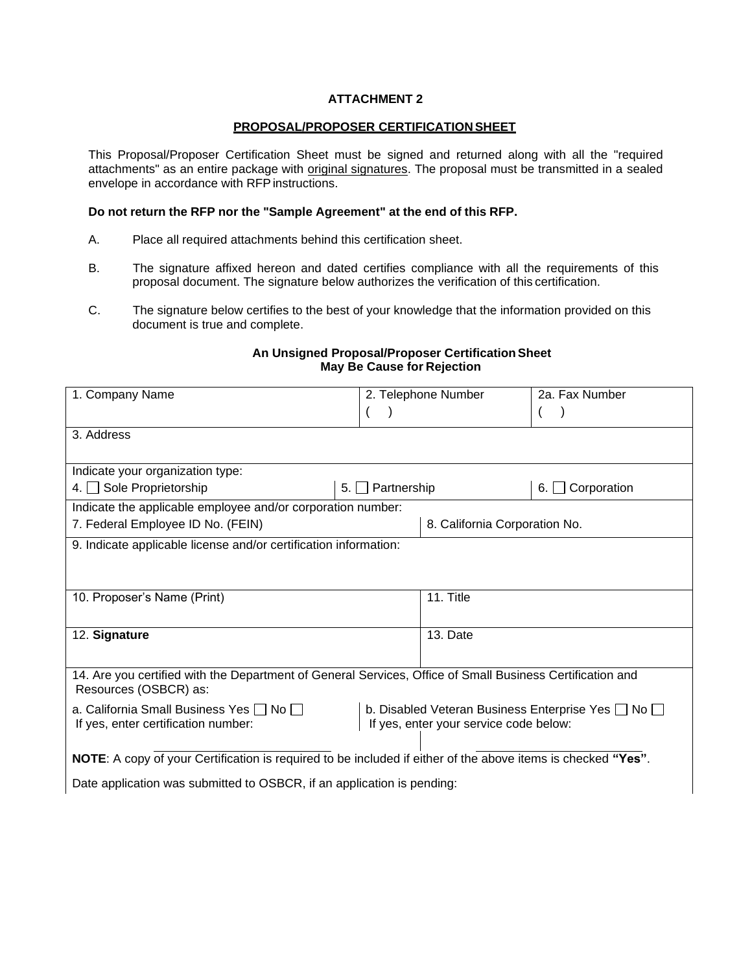## **PROPOSAL/PROPOSER CERTIFICATION SHEET**

This Proposal/Proposer Certification Sheet must be signed and returned along with all the "required attachments" as an entire package with original signatures. The proposal must be transmitted in a sealed envelope in accordance with RFP instructions.

## **Do not return the RFP nor the "Sample Agreement" at the end of this RFP.**

- A. Place all required attachments behind this certification sheet.
- B. The signature affixed hereon and dated certifies compliance with all the requirements of this proposal document. The signature below authorizes the verification of this certification.
- C. The signature below certifies to the best of your knowledge that the information provided on this document is true and complete.

## **An Unsigned Proposal/Proposer CertificationSheet May Be Cause for Rejection**

| 1. Company Name                                                                                              |                                        | 2. Telephone Number                                          | 2a. Fax Number             |  |
|--------------------------------------------------------------------------------------------------------------|----------------------------------------|--------------------------------------------------------------|----------------------------|--|
|                                                                                                              |                                        |                                                              |                            |  |
| 3. Address                                                                                                   |                                        |                                                              |                            |  |
|                                                                                                              |                                        |                                                              |                            |  |
| Indicate your organization type:                                                                             |                                        |                                                              |                            |  |
| 4. Sole Proprietorship                                                                                       | $\Box$ Partnership<br>5.1              |                                                              | $\Box$ Corporation<br>6. I |  |
| Indicate the applicable employee and/or corporation number:                                                  |                                        |                                                              |                            |  |
| 7. Federal Employee ID No. (FEIN)                                                                            |                                        | 8. California Corporation No.                                |                            |  |
| 9. Indicate applicable license and/or certification information:                                             |                                        |                                                              |                            |  |
|                                                                                                              |                                        |                                                              |                            |  |
|                                                                                                              |                                        |                                                              |                            |  |
| 10. Proposer's Name (Print)                                                                                  |                                        | 11. Title                                                    |                            |  |
|                                                                                                              |                                        |                                                              |                            |  |
| 12. Signature                                                                                                |                                        | 13. Date                                                     |                            |  |
|                                                                                                              |                                        |                                                              |                            |  |
| 14. Are you certified with the Department of General Services, Office of Small Business Certification and    |                                        |                                                              |                            |  |
| Resources (OSBCR) as:                                                                                        |                                        |                                                              |                            |  |
| a. California Small Business Yes $\Box$ No $\Box$                                                            |                                        | b. Disabled Veteran Business Enterprise Yes $\Box$ No $\Box$ |                            |  |
| If yes, enter certification number:                                                                          | If yes, enter your service code below: |                                                              |                            |  |
|                                                                                                              |                                        |                                                              |                            |  |
| NOTE: A copy of your Certification is required to be included if either of the above items is checked "Yes". |                                        |                                                              |                            |  |
| Date application was submitted to OSBCR, if an application is pending:                                       |                                        |                                                              |                            |  |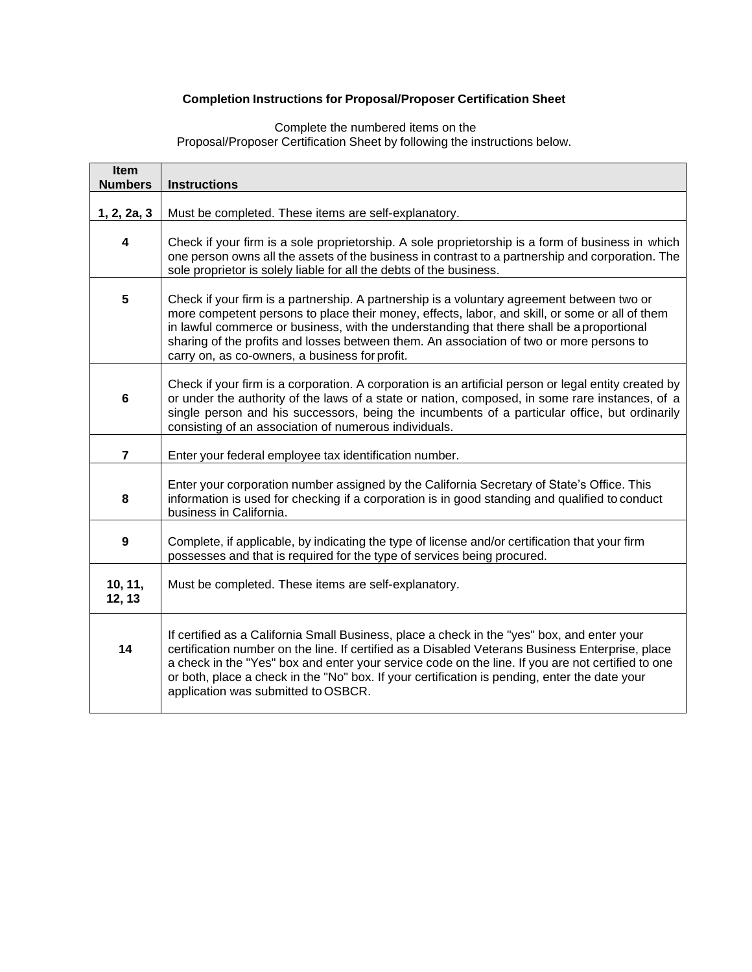# **Completion Instructions for Proposal/Proposer Certification Sheet**

Complete the numbered items on the Proposal/Proposer Certification Sheet by following the instructions below.

| Item<br><b>Numbers</b>                                                                                                                                                                                                                                                                                                                                                                                                                      | <b>Instructions</b>                                                                                                                                                                                                                                                                                                                                                                                                                          |  |  |  |  |  |
|---------------------------------------------------------------------------------------------------------------------------------------------------------------------------------------------------------------------------------------------------------------------------------------------------------------------------------------------------------------------------------------------------------------------------------------------|----------------------------------------------------------------------------------------------------------------------------------------------------------------------------------------------------------------------------------------------------------------------------------------------------------------------------------------------------------------------------------------------------------------------------------------------|--|--|--|--|--|
|                                                                                                                                                                                                                                                                                                                                                                                                                                             |                                                                                                                                                                                                                                                                                                                                                                                                                                              |  |  |  |  |  |
| 1, 2, 2a, 3                                                                                                                                                                                                                                                                                                                                                                                                                                 | Must be completed. These items are self-explanatory.                                                                                                                                                                                                                                                                                                                                                                                         |  |  |  |  |  |
| 4                                                                                                                                                                                                                                                                                                                                                                                                                                           | Check if your firm is a sole proprietorship. A sole proprietorship is a form of business in which<br>one person owns all the assets of the business in contrast to a partnership and corporation. The<br>sole proprietor is solely liable for all the debts of the business.                                                                                                                                                                 |  |  |  |  |  |
| 5<br>Check if your firm is a partnership. A partnership is a voluntary agreement between two or<br>more competent persons to place their money, effects, labor, and skill, or some or all of them<br>in lawful commerce or business, with the understanding that there shall be aproportional<br>sharing of the profits and losses between them. An association of two or more persons to<br>carry on, as co-owners, a business for profit. |                                                                                                                                                                                                                                                                                                                                                                                                                                              |  |  |  |  |  |
| 6                                                                                                                                                                                                                                                                                                                                                                                                                                           | Check if your firm is a corporation. A corporation is an artificial person or legal entity created by<br>or under the authority of the laws of a state or nation, composed, in some rare instances, of a<br>single person and his successors, being the incumbents of a particular office, but ordinarily<br>consisting of an association of numerous individuals.                                                                           |  |  |  |  |  |
| $\overline{\mathbf{7}}$                                                                                                                                                                                                                                                                                                                                                                                                                     | Enter your federal employee tax identification number.                                                                                                                                                                                                                                                                                                                                                                                       |  |  |  |  |  |
| 8                                                                                                                                                                                                                                                                                                                                                                                                                                           | Enter your corporation number assigned by the California Secretary of State's Office. This<br>information is used for checking if a corporation is in good standing and qualified to conduct<br>business in California.                                                                                                                                                                                                                      |  |  |  |  |  |
| 9                                                                                                                                                                                                                                                                                                                                                                                                                                           | Complete, if applicable, by indicating the type of license and/or certification that your firm<br>possesses and that is required for the type of services being procured.                                                                                                                                                                                                                                                                    |  |  |  |  |  |
| 10, 11,<br>12, 13                                                                                                                                                                                                                                                                                                                                                                                                                           | Must be completed. These items are self-explanatory.                                                                                                                                                                                                                                                                                                                                                                                         |  |  |  |  |  |
| 14                                                                                                                                                                                                                                                                                                                                                                                                                                          | If certified as a California Small Business, place a check in the "yes" box, and enter your<br>certification number on the line. If certified as a Disabled Veterans Business Enterprise, place<br>a check in the "Yes" box and enter your service code on the line. If you are not certified to one<br>or both, place a check in the "No" box. If your certification is pending, enter the date your<br>application was submitted to OSBCR. |  |  |  |  |  |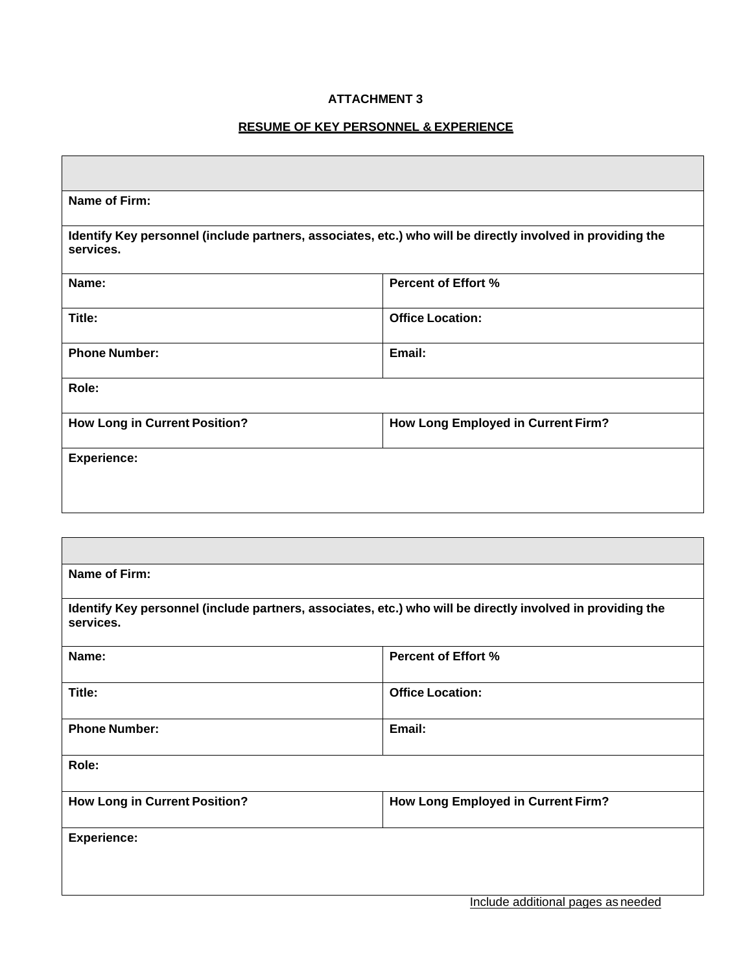## **RESUME OF KEY PERSONNEL & EXPERIENCE**

 $\mathbf{r}$ 

| Name of Firm:                                                                                                           |                                    |  |  |  |  |
|-------------------------------------------------------------------------------------------------------------------------|------------------------------------|--|--|--|--|
| Identify Key personnel (include partners, associates, etc.) who will be directly involved in providing the<br>services. |                                    |  |  |  |  |
| <b>Percent of Effort %</b><br>Name:                                                                                     |                                    |  |  |  |  |
| Title:                                                                                                                  | <b>Office Location:</b>            |  |  |  |  |
| <b>Phone Number:</b>                                                                                                    | Email:                             |  |  |  |  |
| Role:                                                                                                                   |                                    |  |  |  |  |
| <b>How Long in Current Position?</b>                                                                                    | How Long Employed in Current Firm? |  |  |  |  |
| <b>Experience:</b>                                                                                                      |                                    |  |  |  |  |
|                                                                                                                         |                                    |  |  |  |  |
|                                                                                                                         |                                    |  |  |  |  |
|                                                                                                                         |                                    |  |  |  |  |
| Name of Firm:                                                                                                           |                                    |  |  |  |  |
| Identify Key personnel (include partners, associates, etc.) who will be directly involved in providing the<br>services. |                                    |  |  |  |  |
| Name:                                                                                                                   | <b>Percent of Effort %</b>         |  |  |  |  |
| Title:                                                                                                                  | <b>Office Location:</b>            |  |  |  |  |
| <b>Phone Number:</b>                                                                                                    | Email:                             |  |  |  |  |
| Role:                                                                                                                   |                                    |  |  |  |  |
| <b>How Long in Current Position?</b>                                                                                    | How Long Employed in Current Firm? |  |  |  |  |
| <b>Experience:</b>                                                                                                      |                                    |  |  |  |  |
|                                                                                                                         |                                    |  |  |  |  |
|                                                                                                                         |                                    |  |  |  |  |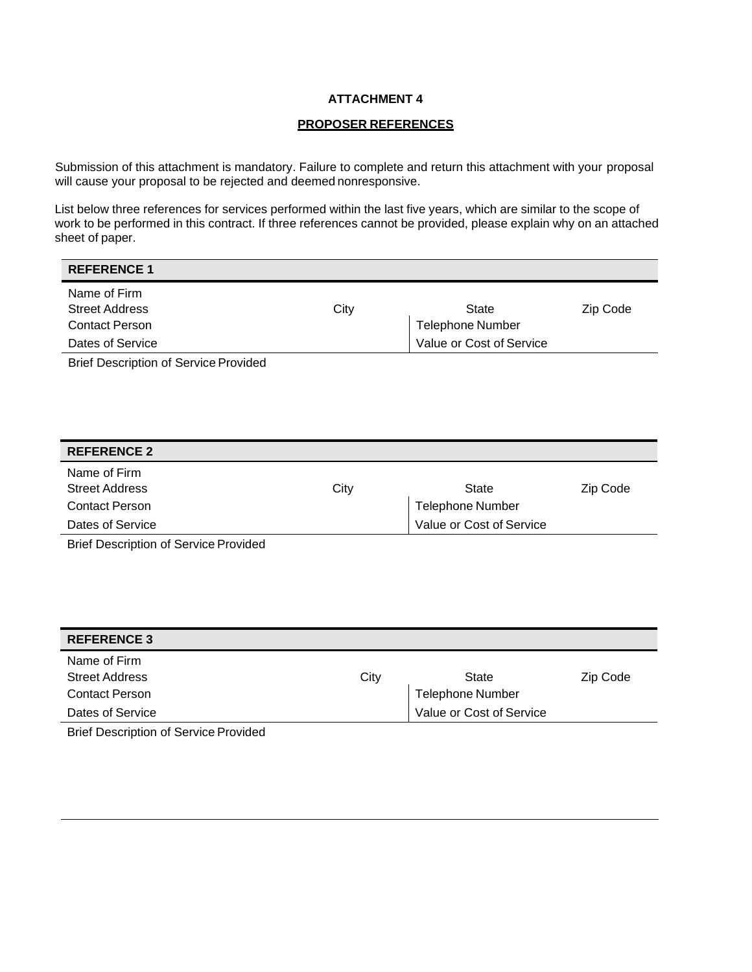#### **PROPOSER REFERENCES**

Submission of this attachment is mandatory. Failure to complete and return this attachment with your proposal will cause your proposal to be rejected and deemed nonresponsive.

List below three references for services performed within the last five years, which are similar to the scope of work to be performed in this contract. If three references cannot be provided, please explain why on an attached sheet of paper.

| <b>REFERENCE 1</b>                                             |      |                                  |          |
|----------------------------------------------------------------|------|----------------------------------|----------|
| Name of Firm<br><b>Street Address</b><br><b>Contact Person</b> | City | State<br><b>Telephone Number</b> | Zip Code |
| Dates of Service                                               |      | Value or Cost of Service         |          |
| <b>Brief Description of Service Provided</b>                   |      |                                  |          |

| <b>REFERENCE 2</b>    |      |                          |          |
|-----------------------|------|--------------------------|----------|
| Name of Firm          |      |                          |          |
| <b>Street Address</b> | City | State                    | Zip Code |
| <b>Contact Person</b> |      | <b>Telephone Number</b>  |          |
| Dates of Service      |      | Value or Cost of Service |          |
| - - - -               |      |                          |          |

Brief Description of Service Provided

| <b>REFERENCE 3</b>    |      |                          |          |
|-----------------------|------|--------------------------|----------|
| Name of Firm          |      |                          |          |
| <b>Street Address</b> | City | State                    | Zip Code |
| <b>Contact Person</b> |      | <b>Telephone Number</b>  |          |
| Dates of Service      |      | Value or Cost of Service |          |

Brief Description of Service Provided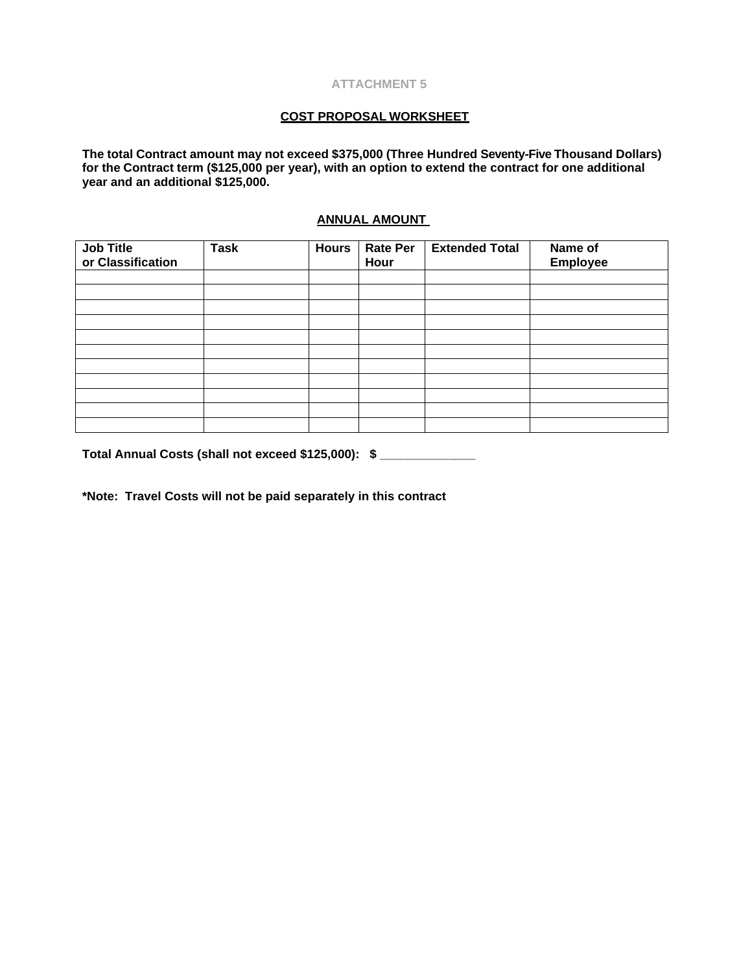## **COST PROPOSAL WORKSHEET**

**The total Contract amount may not exceed \$375,000 (Three Hundred Seventy-Five Thousand Dollars) for the Contract term (\$125,000 per year), with an option to extend the contract for one additional year and an additional \$125,000.** 

## **ANNUAL AMOUNT**

| Job Title<br>or Classification | <b>Task</b> | <b>Hours</b> | <b>Rate Per</b><br>Hour | <b>Extended Total</b> | Name of<br>Employee |
|--------------------------------|-------------|--------------|-------------------------|-----------------------|---------------------|
|                                |             |              |                         |                       |                     |
|                                |             |              |                         |                       |                     |
|                                |             |              |                         |                       |                     |
|                                |             |              |                         |                       |                     |
|                                |             |              |                         |                       |                     |
|                                |             |              |                         |                       |                     |
|                                |             |              |                         |                       |                     |
|                                |             |              |                         |                       |                     |
|                                |             |              |                         |                       |                     |
|                                |             |              |                         |                       |                     |
|                                |             |              |                         |                       |                     |

**Total Annual Costs (shall not exceed \$125,000): \$ \_\_\_\_\_\_\_\_\_\_\_\_\_\_**

**\*Note: Travel Costs will not be paid separately in this contract**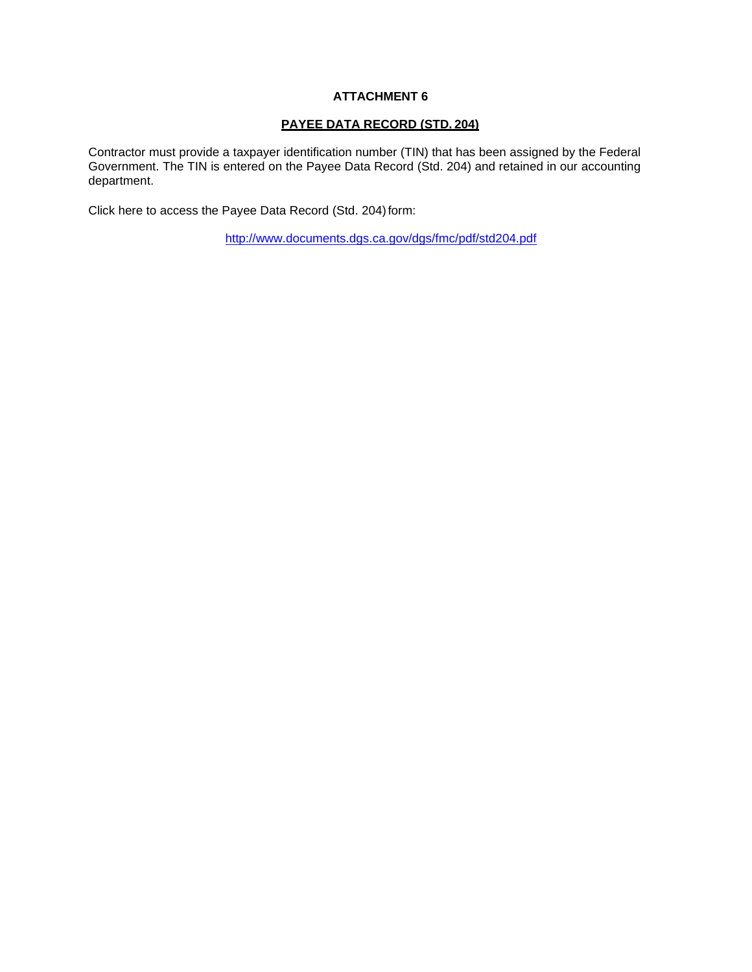#### **PAYEE DATA RECORD (STD. 204)**

Contractor must provide a taxpayer identification number (TIN) that has been assigned by the Federal Government. The TIN is entered on the Payee Data Record (Std. 204) and retained in our accounting department.

Click here to access the Payee Data Record (Std. 204) form:

<http://www.documents.dgs.ca.gov/dgs/fmc/pdf/std204.pdf>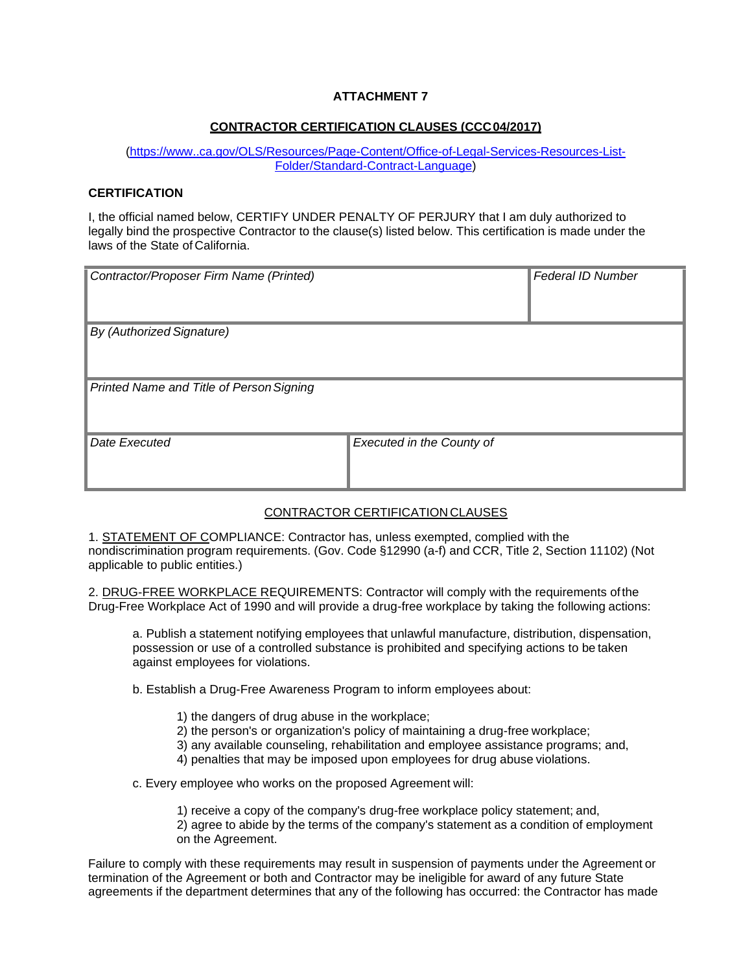## **CONTRACTOR CERTIFICATION CLAUSES (CCC04/2017)**

(http[s://www..ca.gov/OLS/Resources/Page-Content/Office-of-Legal-Services-Resources-List-](http://www.dgs.ca.gov/OLS/Resources/Page-Content/Office-of-Legal-Services-Resources-List-)Folder/Standard-Contract-Language)

#### **CERTIFICATION**

I, the official named below, CERTIFY UNDER PENALTY OF PERJURY that I am duly authorized to legally bind the prospective Contractor to the clause(s) listed below. This certification is made under the laws of the State of California.

| Contractor/Proposer Firm Name (Printed)  |                           | <b>Federal ID Number</b> |
|------------------------------------------|---------------------------|--------------------------|
| By (Authorized Signature)                |                           |                          |
| Printed Name and Title of Person Signing |                           |                          |
| Date Executed                            | Executed in the County of |                          |

## CONTRACTOR CERTIFICATION CLAUSES

1. STATEMENT OF COMPLIANCE: Contractor has, unless exempted, complied with the nondiscrimination program requirements. (Gov. Code §12990 (a-f) and CCR, Title 2, Section 11102) (Not applicable to public entities.)

2. DRUG-FREE WORKPLACE REQUIREMENTS: Contractor will comply with the requirements ofthe Drug-Free Workplace Act of 1990 and will provide a drug-free workplace by taking the following actions:

a. Publish a statement notifying employees that unlawful manufacture, distribution, dispensation, possession or use of a controlled substance is prohibited and specifying actions to be taken against employees for violations.

b. Establish a Drug-Free Awareness Program to inform employees about:

- 1) the dangers of drug abuse in the workplace;
- 2) the person's or organization's policy of maintaining a drug-free workplace;
- 3) any available counseling, rehabilitation and employee assistance programs; and,
- 4) penalties that may be imposed upon employees for drug abuse violations.

c. Every employee who works on the proposed Agreement will:

1) receive a copy of the company's drug-free workplace policy statement; and,

2) agree to abide by the terms of the company's statement as a condition of employment on the Agreement.

Failure to comply with these requirements may result in suspension of payments under the Agreement or termination of the Agreement or both and Contractor may be ineligible for award of any future State agreements if the department determines that any of the following has occurred: the Contractor has made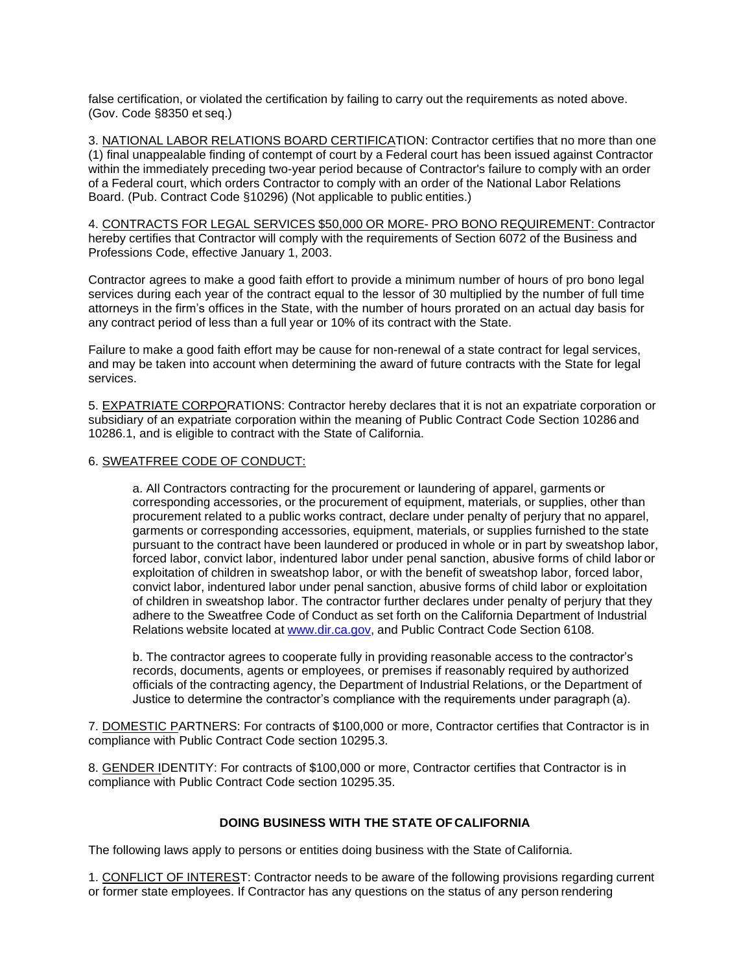false certification, or violated the certification by failing to carry out the requirements as noted above. (Gov. Code §8350 et seq.)

3. NATIONAL LABOR RELATIONS BOARD CERTIFICATION: Contractor certifies that no more than one (1) final unappealable finding of contempt of court by a Federal court has been issued against Contractor within the immediately preceding two-year period because of Contractor's failure to comply with an order of a Federal court, which orders Contractor to comply with an order of the National Labor Relations Board. (Pub. Contract Code §10296) (Not applicable to public entities.)

4. CONTRACTS FOR LEGAL SERVICES \$50,000 OR MORE- PRO BONO REQUIREMENT: Contractor hereby certifies that Contractor will comply with the requirements of Section 6072 of the Business and Professions Code, effective January 1, 2003.

Contractor agrees to make a good faith effort to provide a minimum number of hours of pro bono legal services during each year of the contract equal to the lessor of 30 multiplied by the number of full time attorneys in the firm's offices in the State, with the number of hours prorated on an actual day basis for any contract period of less than a full year or 10% of its contract with the State.

Failure to make a good faith effort may be cause for non-renewal of a state contract for legal services, and may be taken into account when determining the award of future contracts with the State for legal services.

5. EXPATRIATE CORPORATIONS: Contractor hereby declares that it is not an expatriate corporation or subsidiary of an expatriate corporation within the meaning of Public Contract Code Section 10286 and 10286.1, and is eligible to contract with the State of California.

#### 6. SWEATFREE CODE OF CONDUCT:

a. All Contractors contracting for the procurement or laundering of apparel, garments or corresponding accessories, or the procurement of equipment, materials, or supplies, other than procurement related to a public works contract, declare under penalty of perjury that no apparel, garments or corresponding accessories, equipment, materials, or supplies furnished to the state pursuant to the contract have been laundered or produced in whole or in part by sweatshop labor, forced labor, convict labor, indentured labor under penal sanction, abusive forms of child labor or exploitation of children in sweatshop labor, or with the benefit of sweatshop labor, forced labor, convict labor, indentured labor under penal sanction, abusive forms of child labor or exploitation of children in sweatshop labor. The contractor further declares under penalty of perjury that they adhere to the Sweatfree Code of Conduct as set forth on the California Department of Industrial Relations website located at [www.dir.ca.gov,](http://www.dir.ca.gov/) and Public Contract Code Section 6108.

b. The contractor agrees to cooperate fully in providing reasonable access to the contractor's records, documents, agents or employees, or premises if reasonably required by authorized officials of the contracting agency, the Department of Industrial Relations, or the Department of Justice to determine the contractor's compliance with the requirements under paragraph (a).

7. DOMESTIC PARTNERS: For contracts of \$100,000 or more, Contractor certifies that Contractor is in compliance with Public Contract Code section 10295.3.

8. GENDER IDENTITY: For contracts of \$100,000 or more, Contractor certifies that Contractor is in compliance with Public Contract Code section 10295.35.

#### **DOING BUSINESS WITH THE STATE OF CALIFORNIA**

The following laws apply to persons or entities doing business with the State of California.

1. CONFLICT OF INTEREST: Contractor needs to be aware of the following provisions regarding current or former state employees. If Contractor has any questions on the status of any person rendering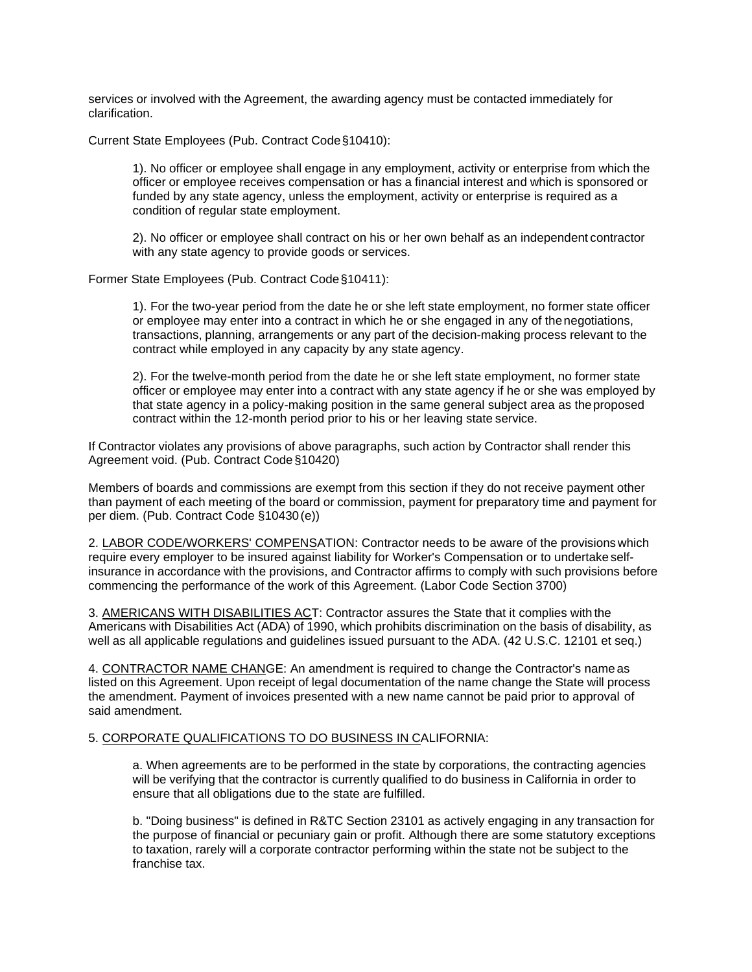services or involved with the Agreement, the awarding agency must be contacted immediately for clarification.

Current State Employees (Pub. Contract Code§10410):

1). No officer or employee shall engage in any employment, activity or enterprise from which the officer or employee receives compensation or has a financial interest and which is sponsored or funded by any state agency, unless the employment, activity or enterprise is required as a condition of regular state employment.

2). No officer or employee shall contract on his or her own behalf as an independent contractor with any state agency to provide goods or services.

Former State Employees (Pub. Contract Code§10411):

1). For the two-year period from the date he or she left state employment, no former state officer or employee may enter into a contract in which he or she engaged in any of thenegotiations, transactions, planning, arrangements or any part of the decision-making process relevant to the contract while employed in any capacity by any state agency.

2). For the twelve-month period from the date he or she left state employment, no former state officer or employee may enter into a contract with any state agency if he or she was employed by that state agency in a policy-making position in the same general subject area as theproposed contract within the 12-month period prior to his or her leaving state service.

If Contractor violates any provisions of above paragraphs, such action by Contractor shall render this Agreement void. (Pub. Contract Code §10420)

Members of boards and commissions are exempt from this section if they do not receive payment other than payment of each meeting of the board or commission, payment for preparatory time and payment for per diem. (Pub. Contract Code §10430(e))

2. LABOR CODE/WORKERS' COMPENSATION: Contractor needs to be aware of the provisions which require every employer to be insured against liability for Worker's Compensation or to undertake selfinsurance in accordance with the provisions, and Contractor affirms to comply with such provisions before commencing the performance of the work of this Agreement. (Labor Code Section 3700)

3. AMERICANS WITH DISABILITIES ACT: Contractor assures the State that it complies with the Americans with Disabilities Act (ADA) of 1990, which prohibits discrimination on the basis of disability, as well as all applicable regulations and guidelines issued pursuant to the ADA. (42 U.S.C. 12101 et seq.)

4. CONTRACTOR NAME CHANGE: An amendment is required to change the Contractor's name as listed on this Agreement. Upon receipt of legal documentation of the name change the State will process the amendment. Payment of invoices presented with a new name cannot be paid prior to approval of said amendment.

#### 5. CORPORATE QUALIFICATIONS TO DO BUSINESS IN CALIFORNIA:

a. When agreements are to be performed in the state by corporations, the contracting agencies will be verifying that the contractor is currently qualified to do business in California in order to ensure that all obligations due to the state are fulfilled.

b. "Doing business" is defined in R&TC Section 23101 as actively engaging in any transaction for the purpose of financial or pecuniary gain or profit. Although there are some statutory exceptions to taxation, rarely will a corporate contractor performing within the state not be subject to the franchise tax.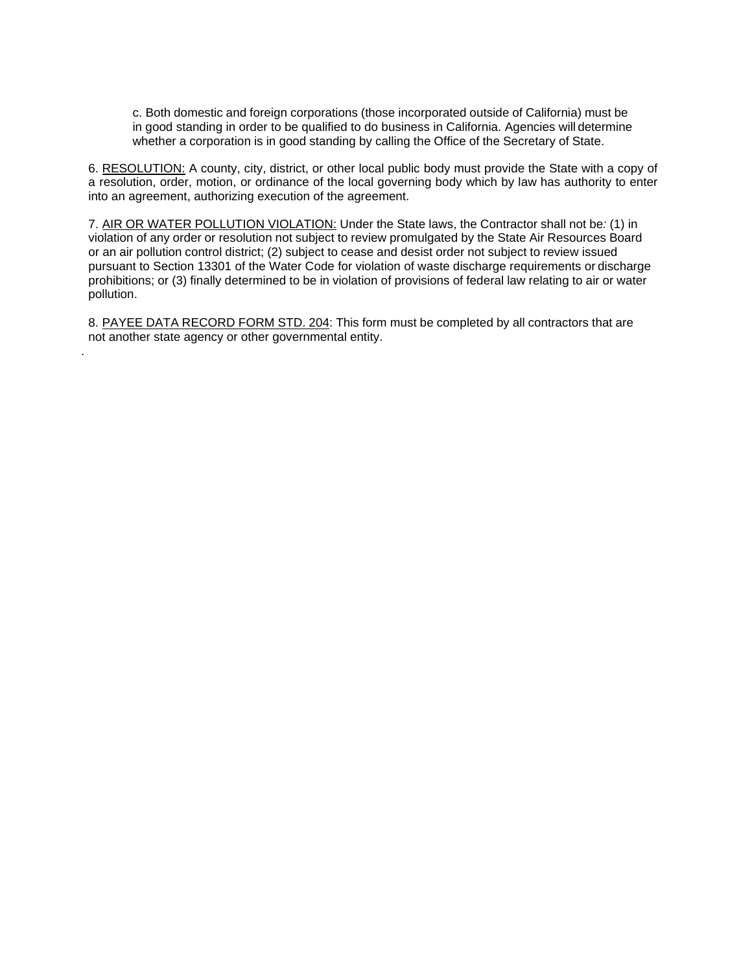c. Both domestic and foreign corporations (those incorporated outside of California) must be in good standing in order to be qualified to do business in California. Agencies will determine whether a corporation is in good standing by calling the Office of the Secretary of State.

6. RESOLUTION: A county, city, district, or other local public body must provide the State with a copy of a resolution, order, motion, or ordinance of the local governing body which by law has authority to enter into an agreement, authorizing execution of the agreement.

7. AIR OR WATER POLLUTION VIOLATION: Under the State laws, the Contractor shall not be*:* (1) in violation of any order or resolution not subject to review promulgated by the State Air Resources Board or an air pollution control district; (2) subject to cease and desist order not subject to review issued pursuant to Section 13301 of the Water Code for violation of waste discharge requirements or discharge prohibitions; or (3) finally determined to be in violation of provisions of federal law relating to air or water pollution.

8. PAYEE DATA RECORD FORM STD. 204: This form must be completed by all contractors that are not another state agency or other governmental entity.

.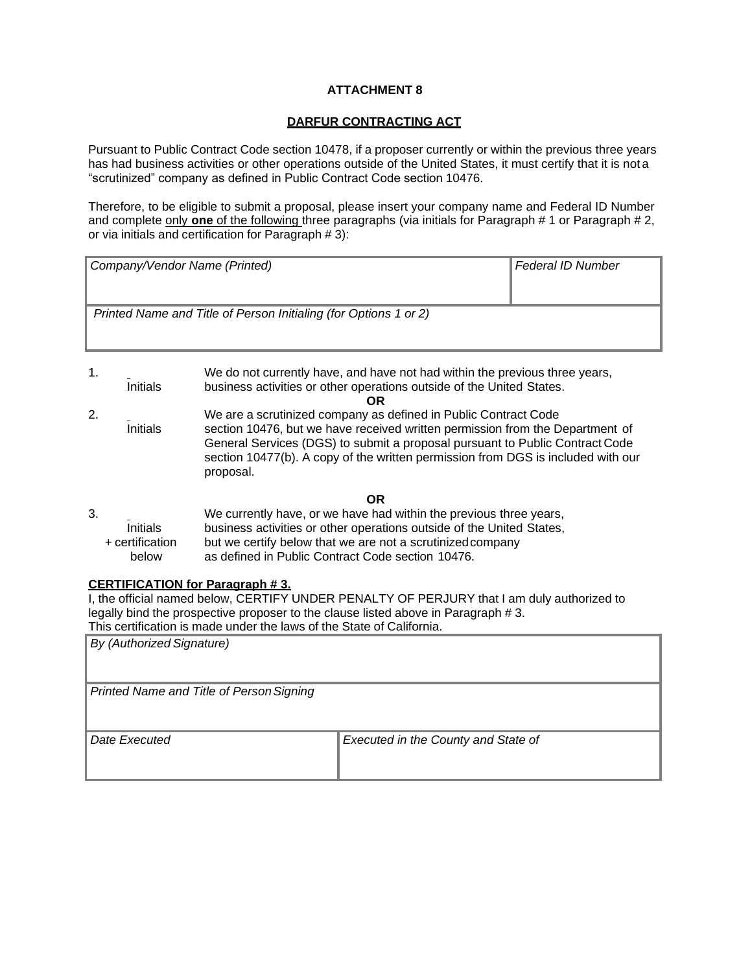## **DARFUR CONTRACTING ACT**

Pursuant to Public Contract Code section 10478, if a proposer currently or within the previous three years has had business activities or other operations outside of the United States, it must certify that it is not a "scrutinized" company as defined in Public Contract Code section 10476.

Therefore, to be eligible to submit a proposal, please insert your company name and Federal ID Number and complete only **one** of the following three paragraphs (via initials for Paragraph # 1 or Paragraph # 2, or via initials and certification for Paragraph # 3):

| Company/Vendor Name (Printed)                                    | <b>Federal ID Number</b> |
|------------------------------------------------------------------|--------------------------|
| Printed Name and Title of Person Initialing (for Options 1 or 2) |                          |

| 1. | Initials                                    | We do not currently have, and have not had within the previous three years,<br>business activities or other operations outside of the United States.<br>OR                                                                                                                                                                        |
|----|---------------------------------------------|-----------------------------------------------------------------------------------------------------------------------------------------------------------------------------------------------------------------------------------------------------------------------------------------------------------------------------------|
| 2. | Initials                                    | We are a scrutinized company as defined in Public Contract Code<br>section 10476, but we have received written permission from the Department of<br>General Services (DGS) to submit a proposal pursuant to Public Contract Code<br>section 10477(b). A copy of the written permission from DGS is included with our<br>proposal. |
|    |                                             | <b>OR</b>                                                                                                                                                                                                                                                                                                                         |
| 3. | <b>Initials</b><br>+ certification<br>below | We currently have, or we have had within the previous three years,<br>business activities or other operations outside of the United States,<br>but we certify below that we are not a scrutinized company<br>as defined in Public Contract Code section 10476.                                                                    |

## **CERTIFICATION for Paragraph # 3.**

I, the official named below, CERTIFY UNDER PENALTY OF PERJURY that I am duly authorized to legally bind the prospective proposer to the clause listed above in Paragraph # 3.

This certification is made under the laws of the State of California.

| By (Authorized Signature)                |                                     |
|------------------------------------------|-------------------------------------|
| Printed Name and Title of Person Signing |                                     |
| Date Executed                            | Executed in the County and State of |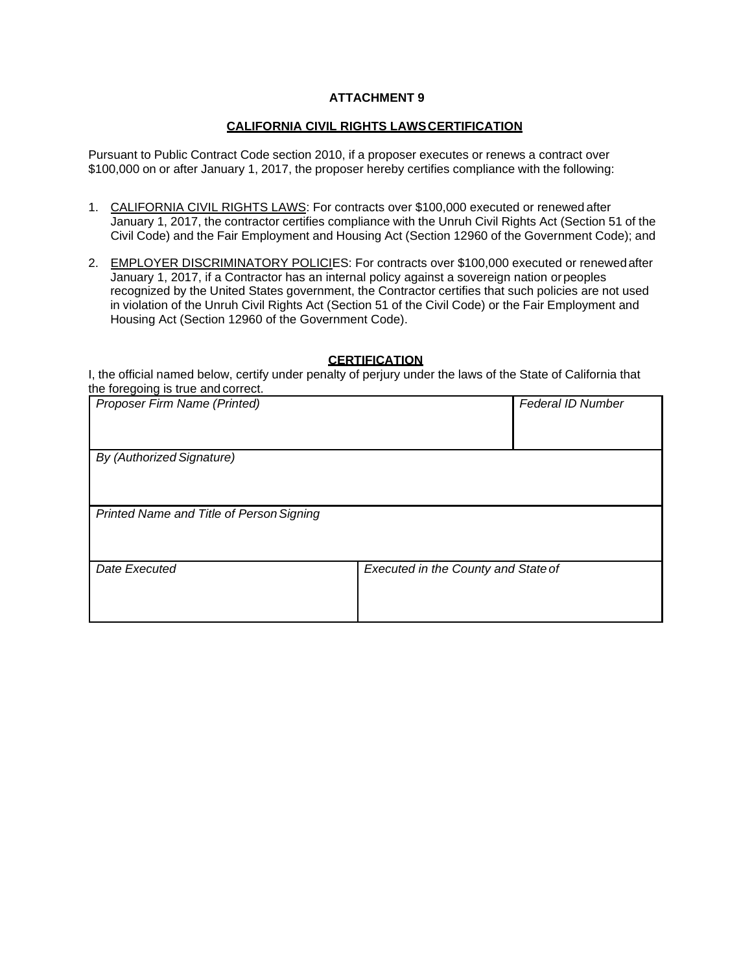## **CALIFORNIA CIVIL RIGHTS LAWSCERTIFICATION**

Pursuant to Public Contract Code section 2010, if a proposer executes or renews a contract over \$100,000 on or after January 1, 2017, the proposer hereby certifies compliance with the following:

- 1. CALIFORNIA CIVIL RIGHTS LAWS: For contracts over \$100,000 executed or renewed after January 1, 2017, the contractor certifies compliance with the Unruh Civil Rights Act (Section 51 of the Civil Code) and the Fair Employment and Housing Act (Section 12960 of the Government Code); and
- 2. EMPLOYER DISCRIMINATORY POLICIES: For contracts over \$100,000 executed or renewed after January 1, 2017, if a Contractor has an internal policy against a sovereign nation orpeoples recognized by the United States government, the Contractor certifies that such policies are not used in violation of the Unruh Civil Rights Act (Section 51 of the Civil Code) or the Fair Employment and Housing Act (Section 12960 of the Government Code).

#### **CERTIFICATION**

I, the official named below, certify under penalty of perjury under the laws of the State of California that the foregoing is true and correct.

| Proposer Firm Name (Printed)             |                                     | <b>Federal ID Number</b> |
|------------------------------------------|-------------------------------------|--------------------------|
| By (Authorized Signature)                |                                     |                          |
| Printed Name and Title of Person Signing |                                     |                          |
| Date Executed                            | Executed in the County and State of |                          |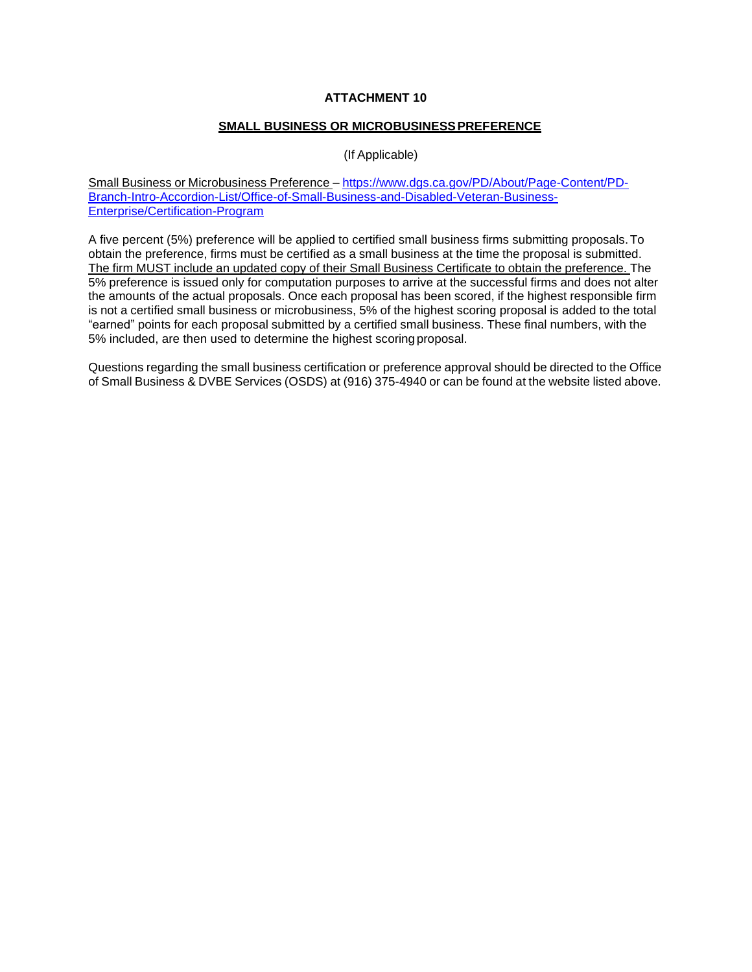## **SMALL BUSINESS OR MICROBUSINESSPREFERENCE**

## (If Applicable)

Small Business or Microbusiness Preference – [https://www.dgs.](http://www.dgs.ca.gov/PD/About/Page-Content/PD-)ca[.gov/PD/About/Page-Content/PD-](http://www.dgs.ca.gov/PD/About/Page-Content/PD-)Branch-Intro-Accordion-List/Office-of-Small-Business-and-Disabled-Veteran-Business-Enterprise/Certification-Program

A five percent (5%) preference will be applied to certified small business firms submitting proposals.To obtain the preference, firms must be certified as a small business at the time the proposal is submitted. The firm MUST include an updated copy of their Small Business Certificate to obtain the preference. The 5% preference is issued only for computation purposes to arrive at the successful firms and does not alter the amounts of the actual proposals. Once each proposal has been scored, if the highest responsible firm is not a certified small business or microbusiness, 5% of the highest scoring proposal is added to the total "earned" points for each proposal submitted by a certified small business. These final numbers, with the 5% included, are then used to determine the highest scoring proposal.

Questions regarding the small business certification or preference approval should be directed to the Office of Small Business & DVBE Services (OSDS) at (916) 375-4940 or can be found at the website listed above.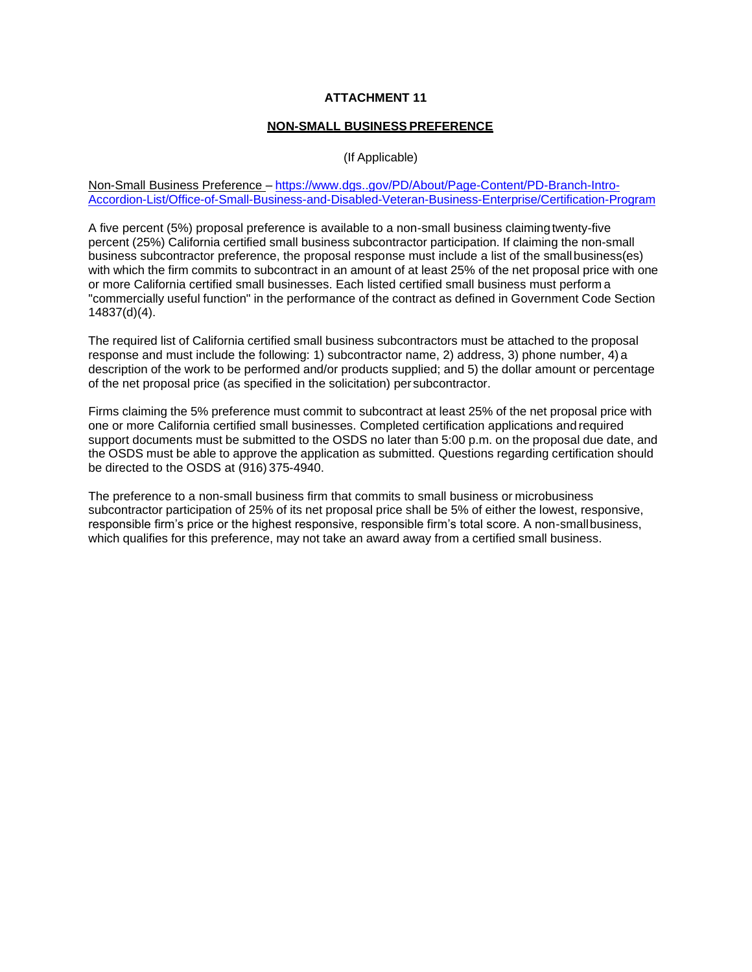#### **NON-SMALL BUSINESS PREFERENCE**

(If Applicable)

Non-Small Business Preference – https[://www.dgs..gov/PD/About/Page-Content/PD-Branch-Intro-](http://www.dgs.ca.gov/PD/About/Page-Content/PD-Branch-Intro-)Accordion-List/Office-of-Small-Business-and-Disabled-Veteran-Business-Enterprise/Certification-Program

A five percent (5%) proposal preference is available to a non-small business claiming twenty-five percent (25%) California certified small business subcontractor participation. If claiming the non-small business subcontractor preference, the proposal response must include a list of the smallbusiness(es) with which the firm commits to subcontract in an amount of at least 25% of the net proposal price with one or more California certified small businesses. Each listed certified small business must perform a "commercially useful function" in the performance of the contract as defined in Government Code Section 14837(d)(4).

The required list of California certified small business subcontractors must be attached to the proposal response and must include the following: 1) subcontractor name, 2) address, 3) phone number, 4) a description of the work to be performed and/or products supplied; and 5) the dollar amount or percentage of the net proposal price (as specified in the solicitation) per subcontractor.

Firms claiming the 5% preference must commit to subcontract at least 25% of the net proposal price with one or more California certified small businesses. Completed certification applications and required support documents must be submitted to the OSDS no later than 5:00 p.m. on the proposal due date, and the OSDS must be able to approve the application as submitted. Questions regarding certification should be directed to the OSDS at (916) 375-4940.

The preference to a non-small business firm that commits to small business or microbusiness subcontractor participation of 25% of its net proposal price shall be 5% of either the lowest, responsive, responsible firm's price or the highest responsive, responsible firm's total score. A non-smallbusiness, which qualifies for this preference, may not take an award away from a certified small business.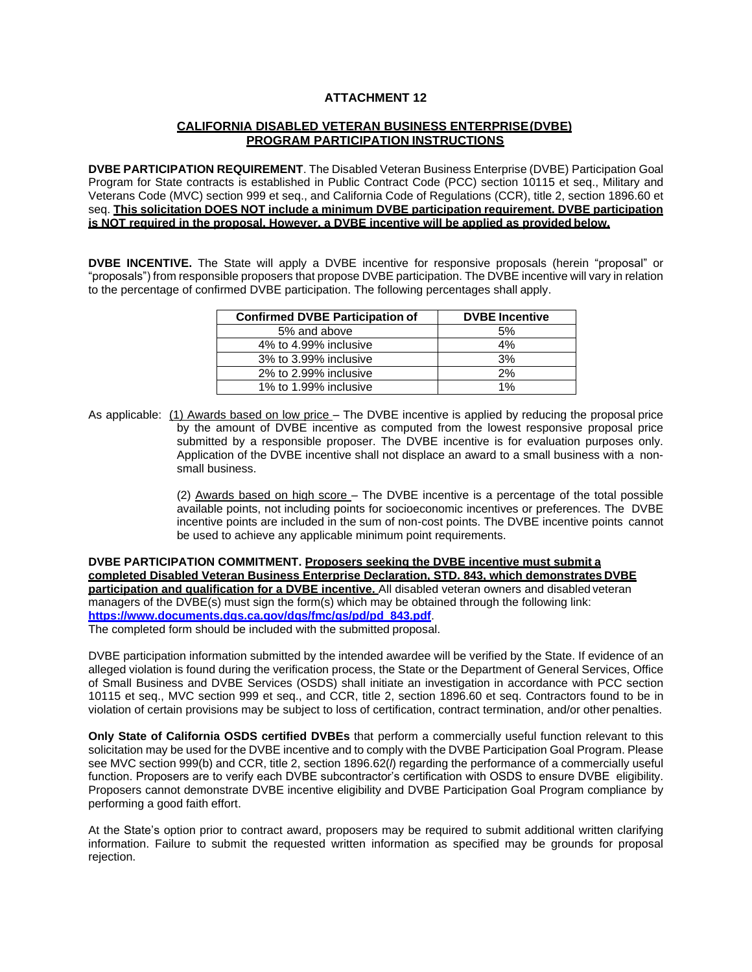## **CALIFORNIA DISABLED VETERAN BUSINESS ENTERPRISE(DVBE) PROGRAM PARTICIPATION INSTRUCTIONS**

**DVBE PARTICIPATION REQUIREMENT**. The Disabled Veteran Business Enterprise (DVBE) Participation Goal Program for State contracts is established in Public Contract Code (PCC) section 10115 et seq., Military and Veterans Code (MVC) section 999 et seq., and California Code of Regulations (CCR), title 2, section 1896.60 et seq. **This solicitation DOES NOT include a minimum DVBE participation requirement. DVBE participation is NOT required in the proposal. However, a DVBE incentive will be applied as provided below.**

**DVBE INCENTIVE.** The State will apply a DVBE incentive for responsive proposals (herein "proposal" or "proposals") from responsible proposers that propose DVBE participation. The DVBE incentive will vary in relation to the percentage of confirmed DVBE participation. The following percentages shall apply.

| <b>Confirmed DVBE Participation of</b> | <b>DVBE</b> Incentive |
|----------------------------------------|-----------------------|
| 5% and above                           | 5%                    |
| 4% to 4.99% inclusive                  | 4%                    |
| 3% to 3.99% inclusive                  | 3%                    |
| 2% to 2.99% inclusive                  | 2%                    |
| 1% to 1.99% inclusive                  | 1%                    |

As applicable: (1) Awards based on low price – The DVBE incentive is applied by reducing the proposal price by the amount of DVBE incentive as computed from the lowest responsive proposal price submitted by a responsible proposer. The DVBE incentive is for evaluation purposes only. Application of the DVBE incentive shall not displace an award to a small business with a nonsmall business.

> (2) Awards based on high score – The DVBE incentive is a percentage of the total possible available points, not including points for socioeconomic incentives or preferences. The DVBE incentive points are included in the sum of non-cost points. The DVBE incentive points cannot be used to achieve any applicable minimum point requirements.

**DVBE PARTICIPATION COMMITMENT. Proposers seeking the DVBE incentive must submit a completed Disabled Veteran Business Enterprise Declaration, STD. 843, which demonstrates DVBE participation and qualification for a DVBE incentive.** All disabled veteran owners and disabled veteran managers of the DVBE(s) must sign the form(s) which may be obtained through the following link: **https:/[/www.documents.dgs.ca.gov/dgs/fmc/gs/pd/pd\\_843.pdf](http://www.documents.dgs.ca.gov/dgs/fmc/gs/pd/pd_843.pdf)**. The completed form should be included with the submitted proposal.

DVBE participation information submitted by the intended awardee will be verified by the State. If evidence of an alleged violation is found during the verification process, the State or the Department of General Services, Office of Small Business and DVBE Services (OSDS) shall initiate an investigation in accordance with PCC section 10115 et seq., MVC section 999 et seq., and CCR, title 2, section 1896.60 et seq. Contractors found to be in violation of certain provisions may be subject to loss of certification, contract termination, and/or other penalties.

**Only State of California OSDS certified DVBEs** that perform a commercially useful function relevant to this solicitation may be used for the DVBE incentive and to comply with the DVBE Participation Goal Program. Please see MVC section 999(b) and CCR, title 2, section 1896.62(*l*) regarding the performance of a commercially useful function. Proposers are to verify each DVBE subcontractor's certification with OSDS to ensure DVBE eligibility. Proposers cannot demonstrate DVBE incentive eligibility and DVBE Participation Goal Program compliance by performing a good faith effort.

At the State's option prior to contract award, proposers may be required to submit additional written clarifying information. Failure to submit the requested written information as specified may be grounds for proposal rejection.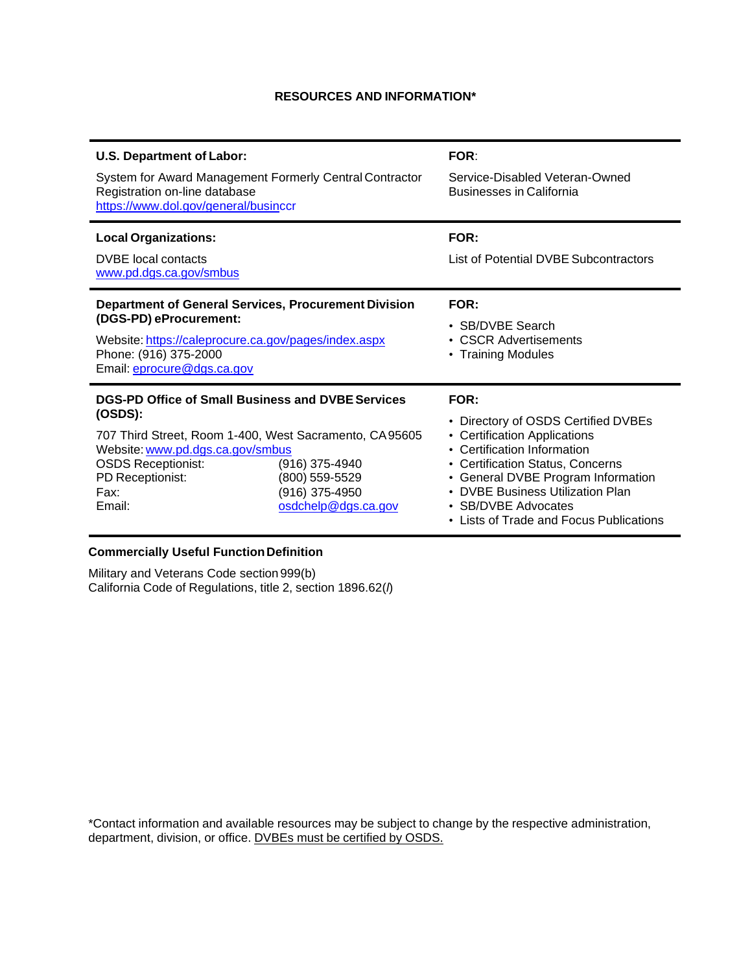## **RESOURCES AND INFORMATION\***

| <b>U.S. Department of Labor:</b><br>System for Award Management Formerly Central Contractor<br>Registration on-line database<br>https://www.dol.gov/general/businccr                                                                 |                                                                           | <b>FOR:</b><br>Service-Disabled Veteran-Owned<br><b>Businesses in California</b>                                                                                                                                                                                                                                        |
|--------------------------------------------------------------------------------------------------------------------------------------------------------------------------------------------------------------------------------------|---------------------------------------------------------------------------|-------------------------------------------------------------------------------------------------------------------------------------------------------------------------------------------------------------------------------------------------------------------------------------------------------------------------|
| <b>Local Organizations:</b><br><b>DVBE</b> local contacts<br>www.pd.dgs.ca.gov/smbus                                                                                                                                                 |                                                                           | FOR:<br>List of Potential DVBE Subcontractors                                                                                                                                                                                                                                                                           |
| <b>Department of General Services, Procurement Division</b><br>(DGS-PD) eProcurement:<br>Website: https://caleprocure.ca.gov/pages/index.aspx<br>Phone: (916) 375-2000<br>Email: eprocure@dgs.ca.gov                                 |                                                                           | FOR:<br>• SB/DVBE Search<br>• CSCR Advertisements<br>• Training Modules                                                                                                                                                                                                                                                 |
| <b>DGS-PD Office of Small Business and DVBE Services</b><br>(OSDS):<br>707 Third Street, Room 1-400, West Sacramento, CA95605<br>Website: www.pd.dgs.ca.gov/smbus<br><b>OSDS Receptionist:</b><br>PD Receptionist:<br>Fax:<br>Email: | (916) 375-4940<br>(800) 559-5529<br>(916) 375-4950<br>osdchelp@dgs.ca.gov | FOR:<br>Directory of OSDS Certified DVBEs<br>$\bullet$<br>• Certification Applications<br>• Certification Information<br>• Certification Status, Concerns<br>• General DVBE Program Information<br><b>DVBE Business Utilization Plan</b><br>$\bullet$<br>• SB/DVBE Advocates<br>• Lists of Trade and Focus Publications |

## **Commercially Useful Function Definition**

Military and Veterans Code section 999(b) California Code of Regulations, title 2, section 1896.62(*l*)

\*Contact information and available resources may be subject to change by the respective administration, department, division, or office. DVBEs must be certified by OSDS.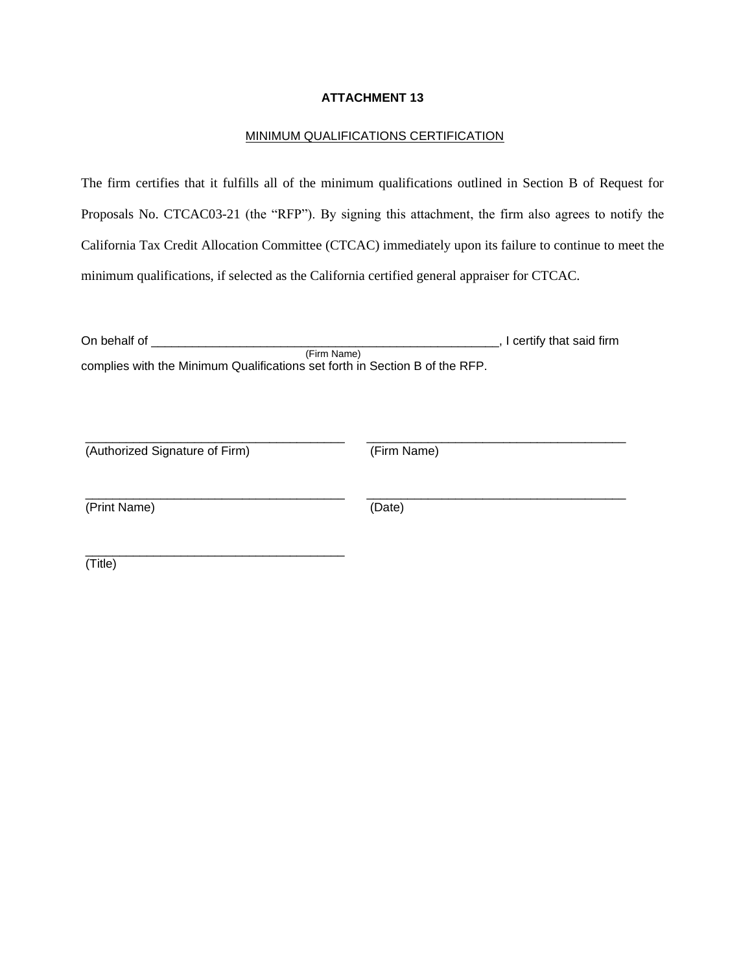#### MINIMUM QUALIFICATIONS CERTIFICATION

The firm certifies that it fulfills all of the minimum qualifications outlined in Section B of Request for Proposals No. CTCAC03-21 (the "RFP"). By signing this attachment, the firm also agrees to notify the California Tax Credit Allocation Committee (CTCAC) immediately upon its failure to continue to meet the minimum qualifications, if selected as the California certified general appraiser for CTCAC.

| On behalf of                                                                | , I certify that said firm |
|-----------------------------------------------------------------------------|----------------------------|
| (Firm Name)                                                                 |                            |
| complies with the Minimum Qualifications set forth in Section B of the RFP. |                            |

\_\_\_\_\_\_\_\_\_\_\_\_\_\_\_\_\_\_\_\_\_\_\_\_\_\_\_\_\_\_\_\_\_\_\_\_\_\_ \_\_\_\_\_\_\_\_\_\_\_\_\_\_\_\_\_\_\_\_\_\_\_\_\_\_\_\_\_\_\_\_\_\_\_\_\_\_

\_\_\_\_\_\_\_\_\_\_\_\_\_\_\_\_\_\_\_\_\_\_\_\_\_\_\_\_\_\_\_\_\_\_\_\_\_\_ \_\_\_\_\_\_\_\_\_\_\_\_\_\_\_\_\_\_\_\_\_\_\_\_\_\_\_\_\_\_\_\_\_\_\_\_\_\_

(Authorized Signature of Firm) (Firm Name)

\_\_\_\_\_\_\_\_\_\_\_\_\_\_\_\_\_\_\_\_\_\_\_\_\_\_\_\_\_\_\_\_\_\_\_\_\_\_

(Print Name) (Date)

(Title)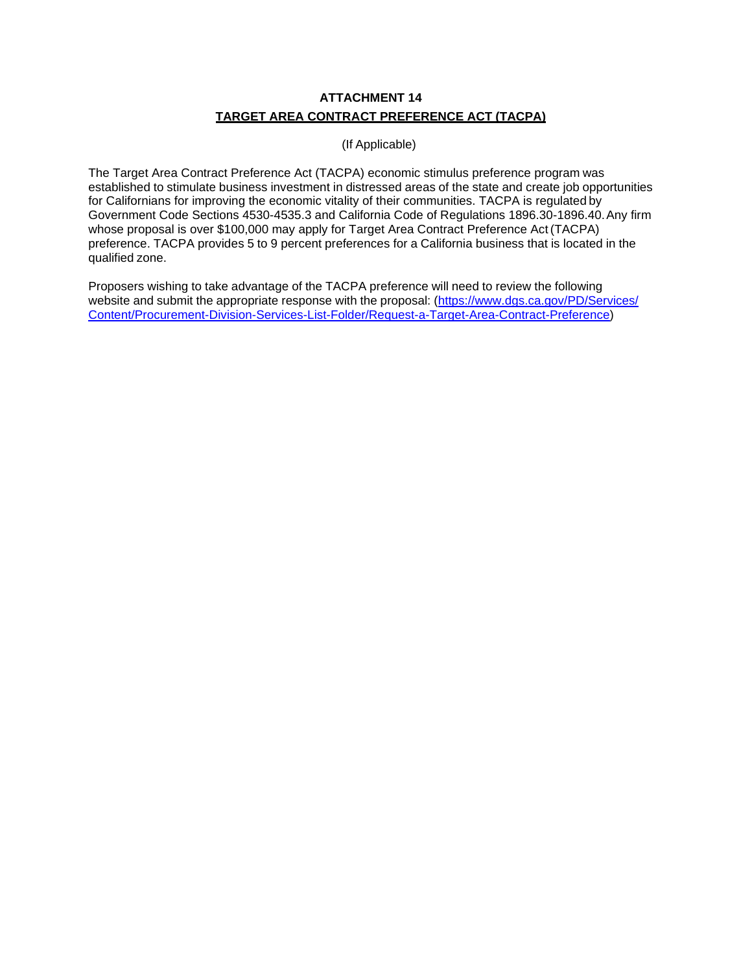## **ATTACHMENT 14 TARGET AREA CONTRACT PREFERENCE ACT (TACPA)**

## (If Applicable)

The Target Area Contract Preference Act (TACPA) economic stimulus preference program was established to stimulate business investment in distressed areas of the state and create job opportunities for Californians for improving the economic vitality of their communities. TACPA is regulated by Government Code Sections 4530-4535.3 and California Code of Regulations 1896.30-1896.40.Any firm whose proposal is over \$100,000 may apply for Target Area Contract Preference Act (TACPA) preference. TACPA provides 5 to 9 percent preferences for a California business that is located in the qualified zone.

Proposers wishing to take advantage of the TACPA preference will need to review the following website and submit the appropriate response with the proposal: [\(https://www.dgs.ca.gov/PD/Services/](http://www.dgs.ca.gov/PD/Services/Page-) Content/Procurement-Division-Services-List-Folder/Request-a-Target-Area-Contract-Preference)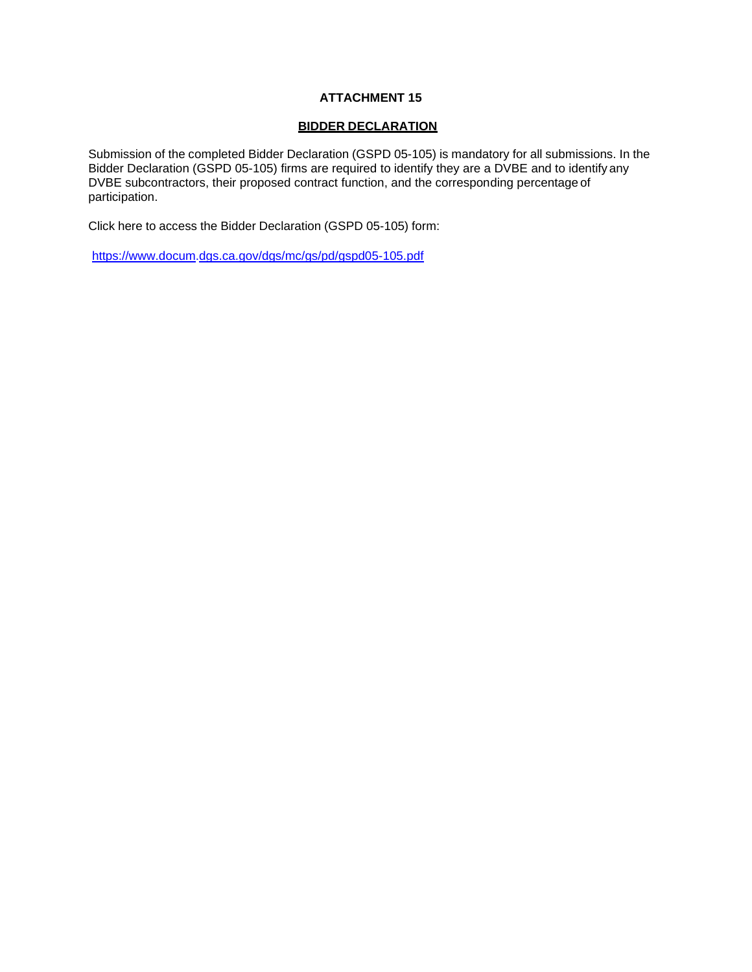#### **BIDDER DECLARATION**

Submission of the completed Bidder Declaration (GSPD 05-105) is mandatory for all submissions. In the Bidder Declaration (GSPD 05-105) firms are required to identify they are a DVBE and to identify any DVBE subcontractors, their proposed contract function, and the corresponding percentage of participation.

Click here to access the Bidder Declaration (GSPD 05-105) form:

[https://www.docum.dgs.ca.gov/dgs/mc/gs/pd/gspd05-105.pdf](http://www.documents.dgs.ca.gov/dgs/fmc/gs/pd/gspd05-105.pdf)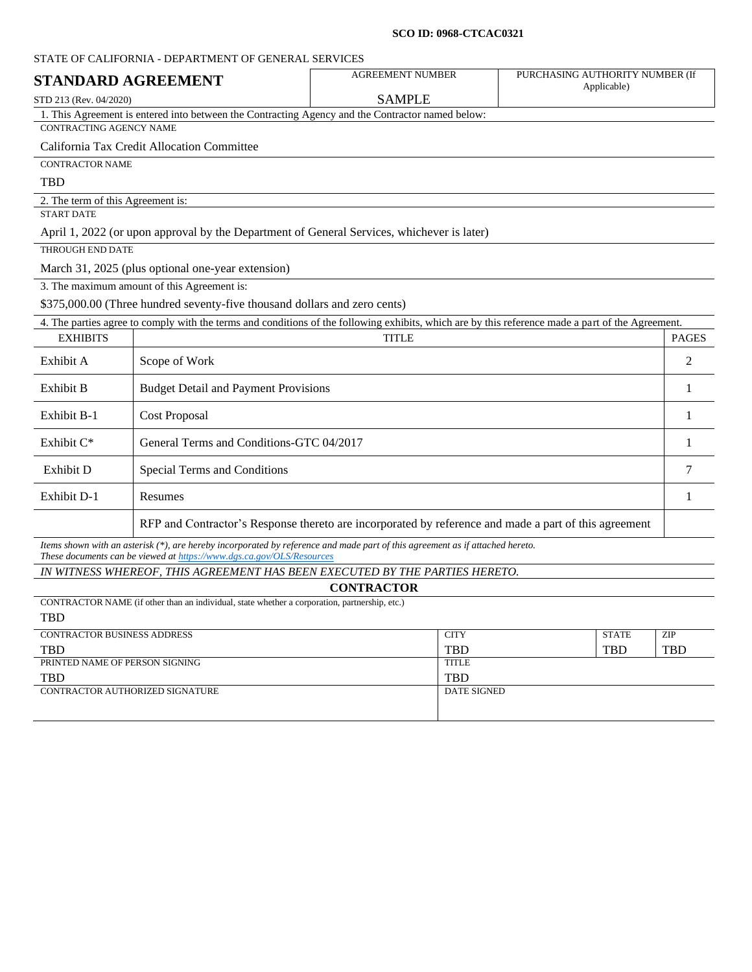#### **SCO ID: 0968-CTCAC0321**

|                                   | STATE OF CALIFORNIA - DEPARTMENT OF GENERAL SERVICES                                             |                                                                                                                                                   |                                                |              |
|-----------------------------------|--------------------------------------------------------------------------------------------------|---------------------------------------------------------------------------------------------------------------------------------------------------|------------------------------------------------|--------------|
| <b>STANDARD AGREEMENT</b>         |                                                                                                  | <b>AGREEMENT NUMBER</b>                                                                                                                           | PURCHASING AUTHORITY NUMBER (If<br>Applicable) |              |
| STD 213 (Rev. 04/2020)            |                                                                                                  | <b>SAMPLE</b>                                                                                                                                     |                                                |              |
|                                   | 1. This Agreement is entered into between the Contracting Agency and the Contractor named below: |                                                                                                                                                   |                                                |              |
| <b>CONTRACTING AGENCY NAME</b>    |                                                                                                  |                                                                                                                                                   |                                                |              |
|                                   | California Tax Credit Allocation Committee                                                       |                                                                                                                                                   |                                                |              |
| <b>CONTRACTOR NAME</b>            |                                                                                                  |                                                                                                                                                   |                                                |              |
| <b>TBD</b>                        |                                                                                                  |                                                                                                                                                   |                                                |              |
| 2. The term of this Agreement is: |                                                                                                  |                                                                                                                                                   |                                                |              |
| <b>START DATE</b>                 |                                                                                                  |                                                                                                                                                   |                                                |              |
|                                   |                                                                                                  | April 1, 2022 (or upon approval by the Department of General Services, whichever is later)                                                        |                                                |              |
| <b>THROUGH END DATE</b>           |                                                                                                  |                                                                                                                                                   |                                                |              |
|                                   | March 31, 2025 (plus optional one-year extension)                                                |                                                                                                                                                   |                                                |              |
|                                   | 3. The maximum amount of this Agreement is:                                                      |                                                                                                                                                   |                                                |              |
|                                   | \$375,000.00 (Three hundred seventy-five thousand dollars and zero cents)                        |                                                                                                                                                   |                                                |              |
|                                   |                                                                                                  | 4. The parties agree to comply with the terms and conditions of the following exhibits, which are by this reference made a part of the Agreement. |                                                |              |
| <b>EXHIBITS</b>                   |                                                                                                  | <b>TITLE</b>                                                                                                                                      |                                                | <b>PAGES</b> |
| Exhibit A                         | Scope of Work                                                                                    |                                                                                                                                                   |                                                | 2            |
| Exhibit B                         | <b>Budget Detail and Payment Provisions</b>                                                      |                                                                                                                                                   |                                                | 1            |
| Exhibit B-1                       | <b>Cost Proposal</b>                                                                             |                                                                                                                                                   |                                                |              |
| Exhibit $C^*$                     | General Terms and Conditions-GTC 04/2017                                                         |                                                                                                                                                   |                                                | 1            |
| Exhibit D                         | Special Terms and Conditions                                                                     |                                                                                                                                                   |                                                | 7            |
| Exhibit D-1                       | Resumes                                                                                          |                                                                                                                                                   |                                                | 1            |
|                                   |                                                                                                  | RFP and Contractor's Response thereto are incorporated by reference and made a part of this agreement                                             |                                                |              |
|                                   |                                                                                                  | Items shown with an asterisk (*), are hereby incorporated by reference and made part of this agreement as if attached hereto.                     |                                                |              |

*These documents can be viewed a[t https://www.dgs.ca.gov/OLS/Resources](https://www.dgs.ca.gov/OLS/Resources)*

*IN WITNESS WHEREOF, THIS AGREEMENT HAS BEEN EXECUTED BY THE PARTIES HERETO.*

## **CONTRACTOR**

CONTRACTOR NAME (if other than an individual, state whether a corporation, partnership, etc.) TBD

| ---                                |              |              |            |
|------------------------------------|--------------|--------------|------------|
| <b>CONTRACTOR BUSINESS ADDRESS</b> | <b>CITY</b>  | <b>STATE</b> | <b>ZIP</b> |
| <b>TBD</b>                         | <b>TBD</b>   | <b>TBD</b>   | <b>TBD</b> |
| PRINTED NAME OF PERSON SIGNING     | <b>TITLE</b> |              |            |
| <b>TBD</b>                         | <b>TBD</b>   |              |            |
| CONTRACTOR AUTHORIZED SIGNATURE    | DATE SIGNED  |              |            |
|                                    |              |              |            |
|                                    |              |              |            |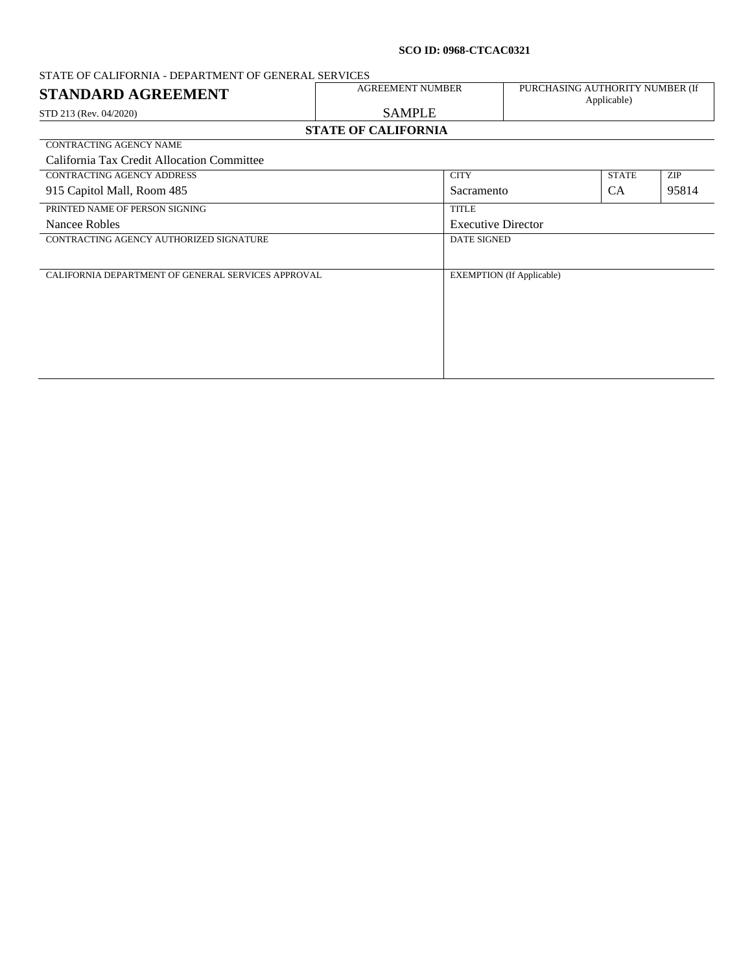#### **SCO ID: 0968-CTCAC0321**

# STATE OF CALIFORNIA - DEPARTMENT OF GENERAL SERVICES<br>
STANDARD A CREEKATEMENT **STANDARD AGREEMENT** AGREEMENT NUMBER PURCHASING AUTHORITY NUMBER (If Applicable) STD 213 (Rev. 04/2020) SAMPLE **STATE OF CALIFORNIA** CONTRACTING AGENCY NAME California Tax Credit Allocation Committee CONTRACTING AGENCY ADDRESS CITY STATE ZIP 915 Capitol Mall, Room 485 Sacramento CA 95814 PRINTED NAME OF PERSON SIGNING TITLE Nancee Robles Executive Director CONTRACTING AGENCY AUTHORIZED SIGNATURE DATE SIGNED CALIFORNIA DEPARTMENT OF GENERAL SERVICES APPROVAL EXEMPTION (If Applicable)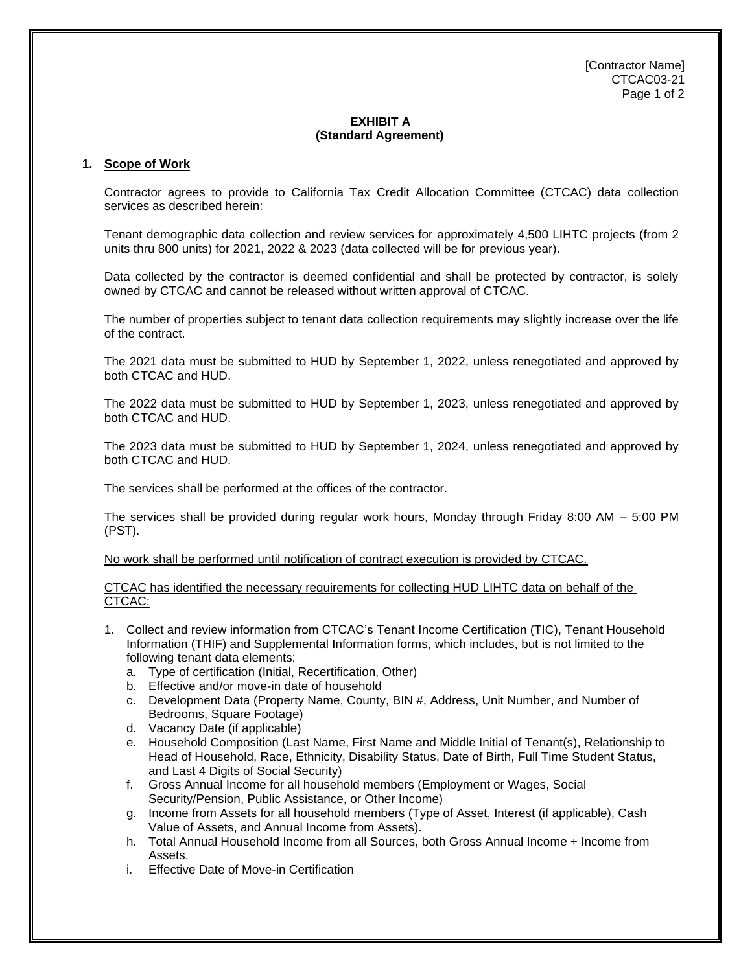[Contractor Name] CTCAC03-21 Page 1 of 2

## **EXHIBIT A (Standard Agreement)**

#### **1. Scope of Work**

Contractor agrees to provide to California Tax Credit Allocation Committee (CTCAC) data collection services as described herein:

Tenant demographic data collection and review services for approximately 4,500 LIHTC projects (from 2 units thru 800 units) for 2021, 2022 & 2023 (data collected will be for previous year).

Data collected by the contractor is deemed confidential and shall be protected by contractor, is solely owned by CTCAC and cannot be released without written approval of CTCAC.

The number of properties subject to tenant data collection requirements may slightly increase over the life of the contract.

The 2021 data must be submitted to HUD by September 1, 2022, unless renegotiated and approved by both CTCAC and HUD.

The 2022 data must be submitted to HUD by September 1, 2023, unless renegotiated and approved by both CTCAC and HUD.

The 2023 data must be submitted to HUD by September 1, 2024, unless renegotiated and approved by both CTCAC and HUD.

The services shall be performed at the offices of the contractor.

The services shall be provided during regular work hours, Monday through Friday 8:00 AM – 5:00 PM (PST).

No work shall be performed until notification of contract execution is provided by CTCAC.

CTCAC has identified the necessary requirements for collecting HUD LIHTC data on behalf of the CTCAC:

- 1. Collect and review information from CTCAC's Tenant Income Certification (TIC), Tenant Household Information (THIF) and Supplemental Information forms, which includes, but is not limited to the following tenant data elements:
	- a. Type of certification (Initial, Recertification, Other)
	- b. Effective and/or move-in date of household
	- c. Development Data (Property Name, County, BIN #, Address, Unit Number, and Number of Bedrooms, Square Footage)
	- d. Vacancy Date (if applicable)
	- e. Household Composition (Last Name, First Name and Middle Initial of Tenant(s), Relationship to Head of Household, Race, Ethnicity, Disability Status, Date of Birth, Full Time Student Status, and Last 4 Digits of Social Security)
	- f. Gross Annual Income for all household members (Employment or Wages, Social Security/Pension, Public Assistance, or Other Income)
	- g. Income from Assets for all household members (Type of Asset, Interest (if applicable), Cash Value of Assets, and Annual Income from Assets).
	- h. Total Annual Household Income from all Sources, both Gross Annual Income + Income from Assets.
	- i. Effective Date of Move-in Certification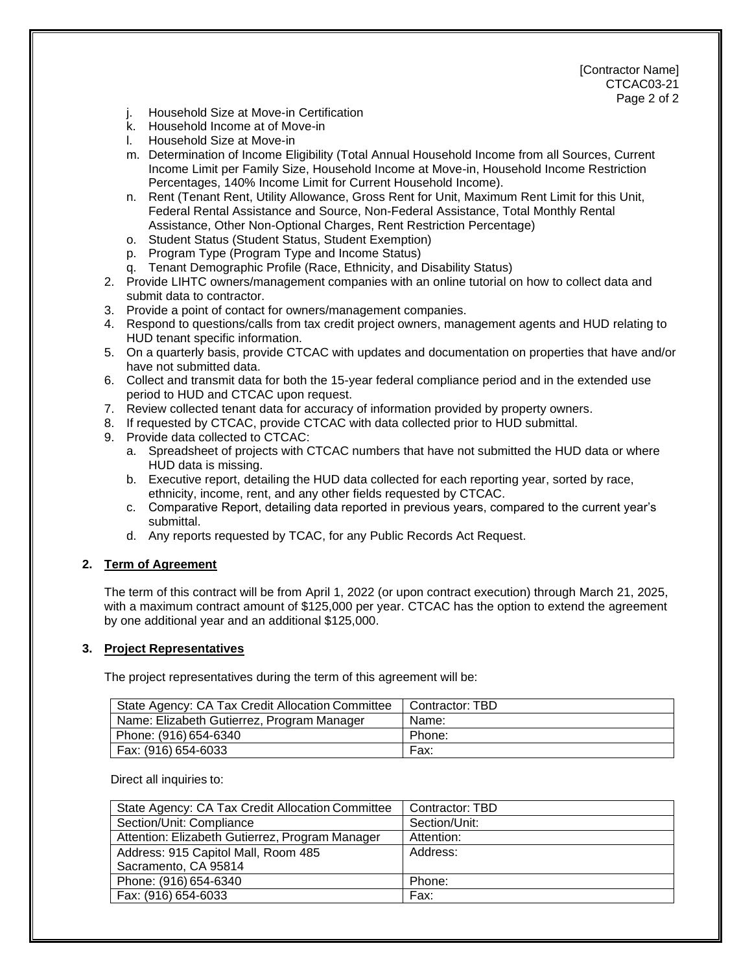[Contractor Name] CTCAC03-21 Page 2 of 2

- j. Household Size at Move-in Certification
- k. Household Income at of Move-in
- l. Household Size at Move-in
- m. Determination of Income Eligibility (Total Annual Household Income from all Sources, Current Income Limit per Family Size, Household Income at Move-in, Household Income Restriction Percentages, 140% Income Limit for Current Household Income).
- n. Rent (Tenant Rent, Utility Allowance, Gross Rent for Unit, Maximum Rent Limit for this Unit, Federal Rental Assistance and Source, Non-Federal Assistance, Total Monthly Rental Assistance, Other Non-Optional Charges, Rent Restriction Percentage)
- o. Student Status (Student Status, Student Exemption)
- p. Program Type (Program Type and Income Status)
- q. Tenant Demographic Profile (Race, Ethnicity, and Disability Status)
- 2. Provide LIHTC owners/management companies with an online tutorial on how to collect data and submit data to contractor.
- 3. Provide a point of contact for owners/management companies.
- 4. Respond to questions/calls from tax credit project owners, management agents and HUD relating to HUD tenant specific information.
- 5. On a quarterly basis, provide CTCAC with updates and documentation on properties that have and/or have not submitted data.
- 6. Collect and transmit data for both the 15-year federal compliance period and in the extended use period to HUD and CTCAC upon request.
- 7. Review collected tenant data for accuracy of information provided by property owners.
- 8. If requested by CTCAC, provide CTCAC with data collected prior to HUD submittal.
- 9. Provide data collected to CTCAC:
	- a. Spreadsheet of projects with CTCAC numbers that have not submitted the HUD data or where HUD data is missing.
	- b. Executive report, detailing the HUD data collected for each reporting year, sorted by race, ethnicity, income, rent, and any other fields requested by CTCAC.
	- c. Comparative Report, detailing data reported in previous years, compared to the current year's submittal.
	- d. Any reports requested by TCAC, for any Public Records Act Request.

## **2. Term of Agreement**

The term of this contract will be from April 1, 2022 (or upon contract execution) through March 21, 2025, with a maximum contract amount of \$125,000 per year. CTCAC has the option to extend the agreement by one additional year and an additional \$125,000.

#### **3. Project Representatives**

The project representatives during the term of this agreement will be:

| State Agency: CA Tax Credit Allocation Committee | Contractor: TBD |
|--------------------------------------------------|-----------------|
| Name: Elizabeth Gutierrez, Program Manager       | Name:           |
| Phone: (916) 654-6340                            | Phone:          |
| Fax: (916) 654-6033                              | Fax:            |

Direct all inquiries to:

| State Agency: CA Tax Credit Allocation Committee | Contractor: TBD |
|--------------------------------------------------|-----------------|
| Section/Unit: Compliance                         | Section/Unit:   |
| Attention: Elizabeth Gutierrez, Program Manager  | Attention:      |
| Address: 915 Capitol Mall, Room 485              | Address:        |
| Sacramento, CA 95814                             |                 |
| Phone: (916) 654-6340                            | Phone:          |
| Fax: (916) 654-6033                              | Fax:            |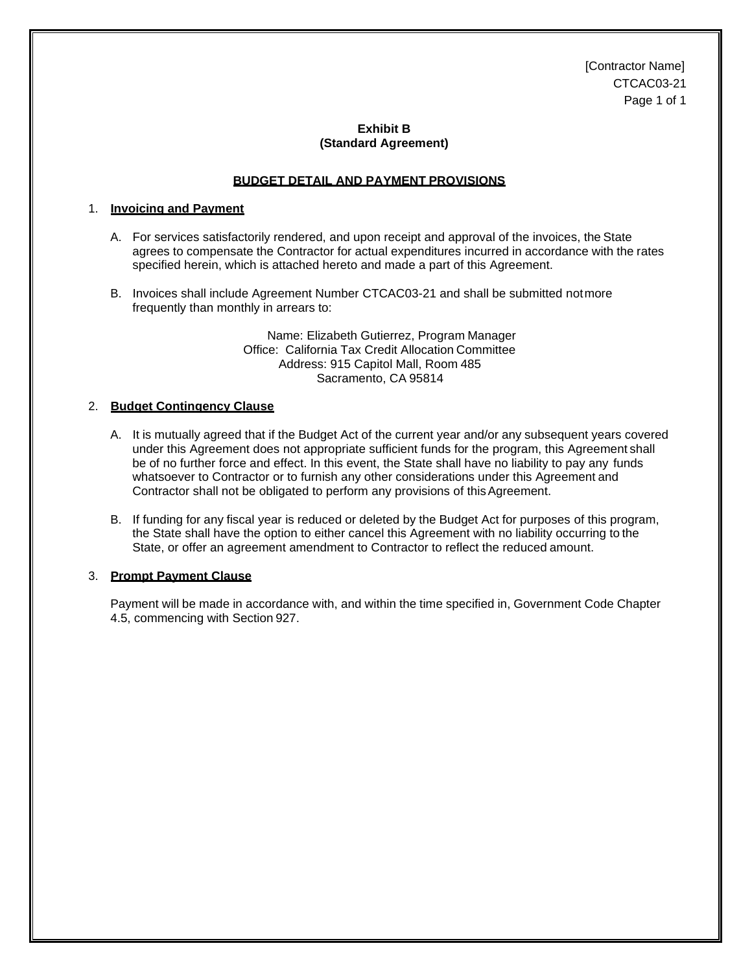[Contractor Name] CTCAC03-21 Page 1 of 1

#### **Exhibit B (Standard Agreement)**

#### **BUDGET DETAIL AND PAYMENT PROVISIONS**

#### 1. **Invoicing and Payment**

- A. For services satisfactorily rendered, and upon receipt and approval of the invoices, the State agrees to compensate the Contractor for actual expenditures incurred in accordance with the rates specified herein, which is attached hereto and made a part of this Agreement.
- B. Invoices shall include Agreement Number CTCAC03-21 and shall be submitted notmore frequently than monthly in arrears to:

Name: Elizabeth Gutierrez, Program Manager Office: California Tax Credit Allocation Committee Address: 915 Capitol Mall, Room 485 Sacramento, CA 95814

#### 2. **Budget Contingency Clause**

- A. It is mutually agreed that if the Budget Act of the current year and/or any subsequent years covered under this Agreement does not appropriate sufficient funds for the program, this Agreement shall be of no further force and effect. In this event, the State shall have no liability to pay any funds whatsoever to Contractor or to furnish any other considerations under this Agreement and Contractor shall not be obligated to perform any provisions of this Agreement.
- B. If funding for any fiscal year is reduced or deleted by the Budget Act for purposes of this program, the State shall have the option to either cancel this Agreement with no liability occurring to the State, or offer an agreement amendment to Contractor to reflect the reduced amount.

#### 3. **Prompt Payment Clause**

Payment will be made in accordance with, and within the time specified in, Government Code Chapter 4.5, commencing with Section 927.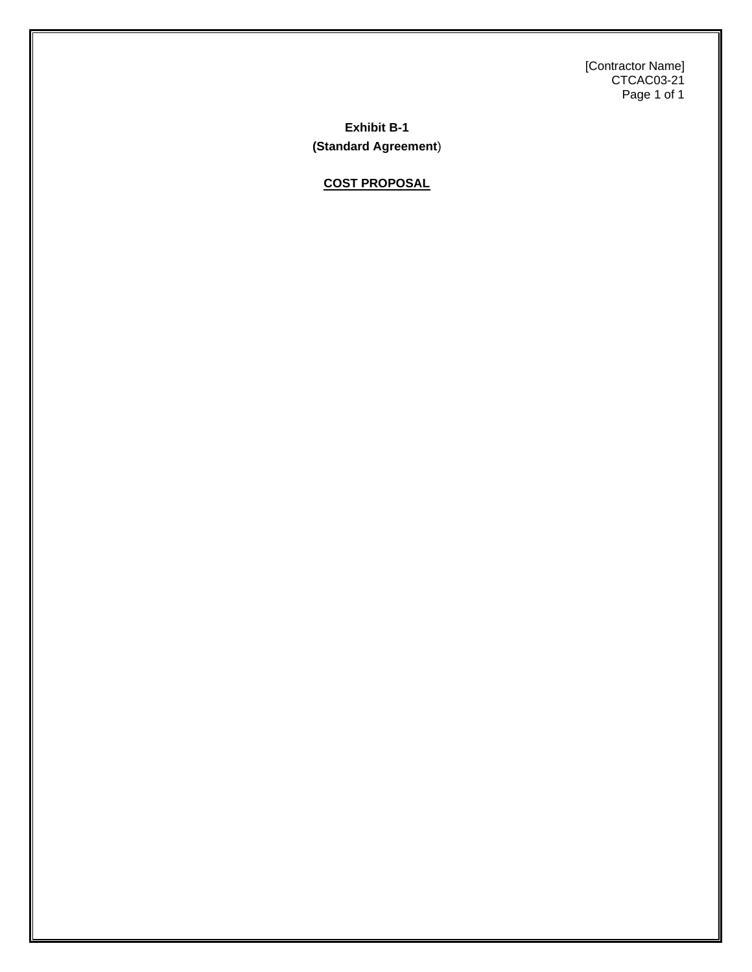[Contractor Name] CTCAC03-21 Page 1 of 1

**Exhibit B-1 (Standard Agreement**)

**COST PROPOSAL**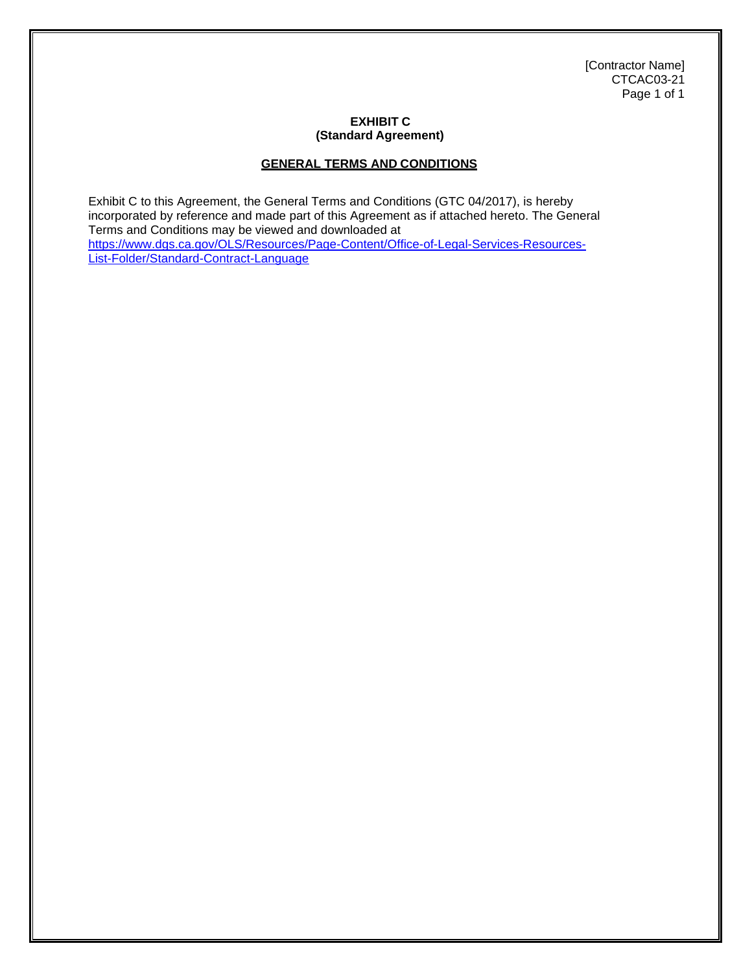[Contractor Name] CTCAC03-21 Page 1 of 1

## **EXHIBIT C (Standard Agreement)**

## **GENERAL TERMS AND CONDITIONS**

Exhibit C to this Agreement, the General Terms and Conditions (GTC 04/2017), is hereby incorporated by reference and made part of this Agreement as if attached hereto. The General Terms and Conditions may be viewed and downloaded at https://www.dgs.ca.gov/OLS/Resources/Page-Content/Office-of-Legal-Services-Resources-List-Folder/Standard-Contract-Language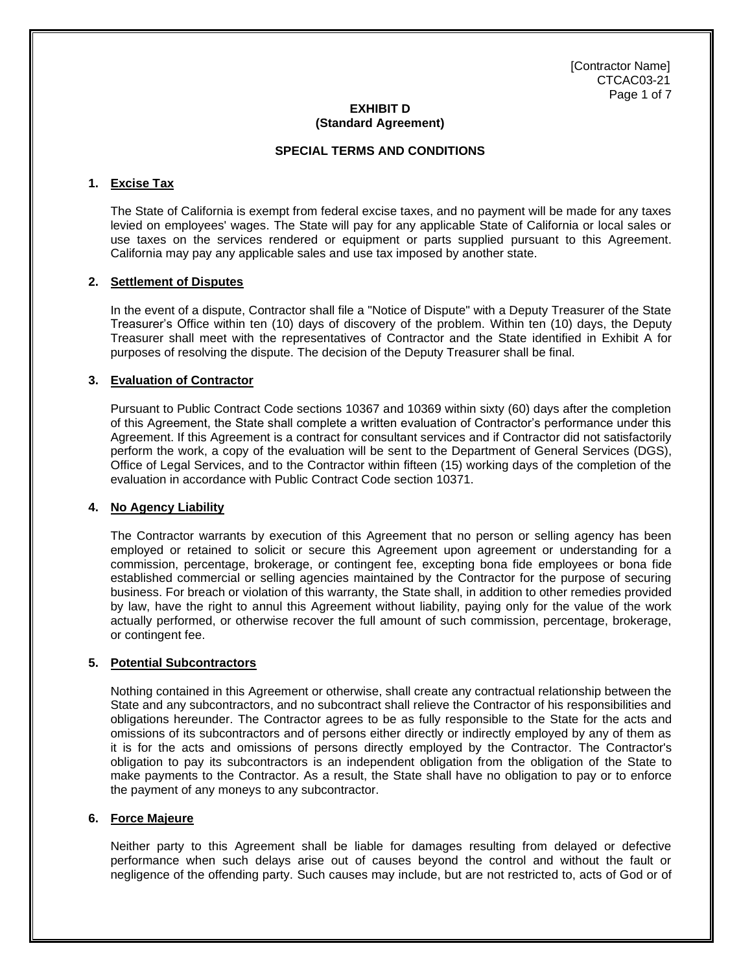[Contractor Name] CTCAC03-21 Page 1 of 7

#### **EXHIBIT D (Standard Agreement)**

## **SPECIAL TERMS AND CONDITIONS**

#### **1. Excise Tax**

The State of California is exempt from federal excise taxes, and no payment will be made for any taxes levied on employees' wages. The State will pay for any applicable State of California or local sales or use taxes on the services rendered or equipment or parts supplied pursuant to this Agreement. California may pay any applicable sales and use tax imposed by another state.

#### **2. Settlement of Disputes**

In the event of a dispute, Contractor shall file a "Notice of Dispute" with a Deputy Treasurer of the State Treasurer's Office within ten (10) days of discovery of the problem. Within ten (10) days, the Deputy Treasurer shall meet with the representatives of Contractor and the State identified in Exhibit A for purposes of resolving the dispute. The decision of the Deputy Treasurer shall be final.

#### **3. Evaluation of Contractor**

Pursuant to Public Contract Code sections 10367 and 10369 within sixty (60) days after the completion of this Agreement, the State shall complete a written evaluation of Contractor's performance under this Agreement. If this Agreement is a contract for consultant services and if Contractor did not satisfactorily perform the work, a copy of the evaluation will be sent to the Department of General Services (DGS), Office of Legal Services, and to the Contractor within fifteen (15) working days of the completion of the evaluation in accordance with Public Contract Code section 10371.

#### **4. No Agency Liability**

The Contractor warrants by execution of this Agreement that no person or selling agency has been employed or retained to solicit or secure this Agreement upon agreement or understanding for a commission, percentage, brokerage, or contingent fee, excepting bona fide employees or bona fide established commercial or selling agencies maintained by the Contractor for the purpose of securing business. For breach or violation of this warranty, the State shall, in addition to other remedies provided by law, have the right to annul this Agreement without liability, paying only for the value of the work actually performed, or otherwise recover the full amount of such commission, percentage, brokerage, or contingent fee.

#### **5. Potential Subcontractors**

Nothing contained in this Agreement or otherwise, shall create any contractual relationship between the State and any subcontractors, and no subcontract shall relieve the Contractor of his responsibilities and obligations hereunder. The Contractor agrees to be as fully responsible to the State for the acts and omissions of its subcontractors and of persons either directly or indirectly employed by any of them as it is for the acts and omissions of persons directly employed by the Contractor. The Contractor's obligation to pay its subcontractors is an independent obligation from the obligation of the State to make payments to the Contractor. As a result, the State shall have no obligation to pay or to enforce the payment of any moneys to any subcontractor.

#### **6. Force Majeure**

Neither party to this Agreement shall be liable for damages resulting from delayed or defective performance when such delays arise out of causes beyond the control and without the fault or negligence of the offending party. Such causes may include, but are not restricted to, acts of God or of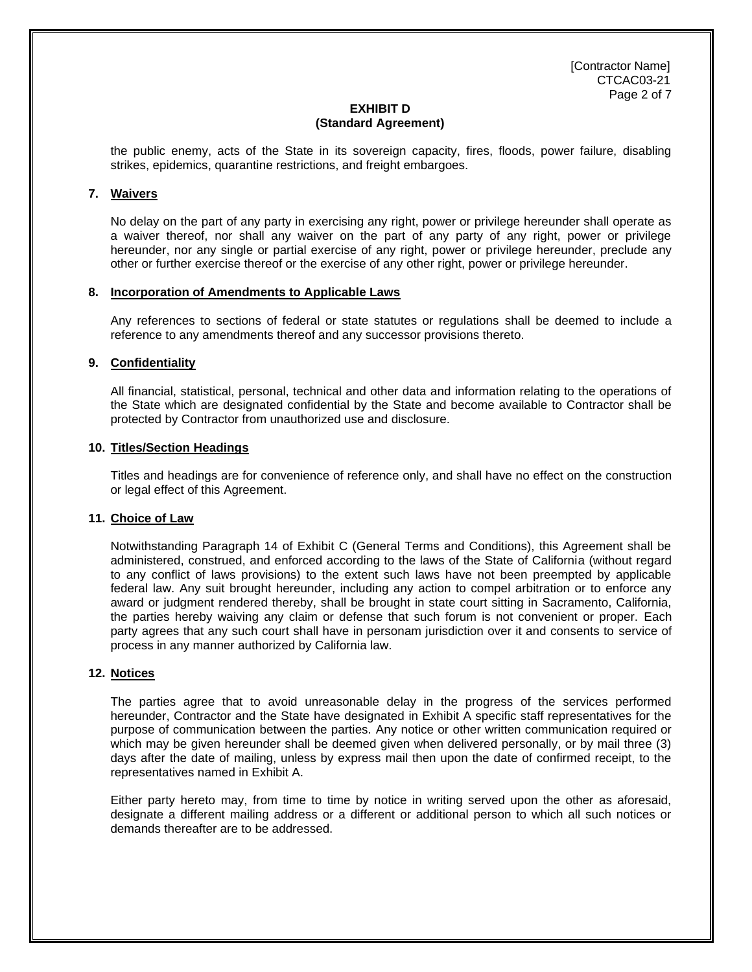[Contractor Name] CTCAC03-21 Page 2 of 7

#### **EXHIBIT D (Standard Agreement)**

the public enemy, acts of the State in its sovereign capacity, fires, floods, power failure, disabling strikes, epidemics, quarantine restrictions, and freight embargoes.

#### **7. Waivers**

No delay on the part of any party in exercising any right, power or privilege hereunder shall operate as a waiver thereof, nor shall any waiver on the part of any party of any right, power or privilege hereunder, nor any single or partial exercise of any right, power or privilege hereunder, preclude any other or further exercise thereof or the exercise of any other right, power or privilege hereunder.

#### **8. Incorporation of Amendments to Applicable Laws**

Any references to sections of federal or state statutes or regulations shall be deemed to include a reference to any amendments thereof and any successor provisions thereto.

#### **9. Confidentiality**

All financial, statistical, personal, technical and other data and information relating to the operations of the State which are designated confidential by the State and become available to Contractor shall be protected by Contractor from unauthorized use and disclosure.

#### **10. Titles/Section Headings**

Titles and headings are for convenience of reference only, and shall have no effect on the construction or legal effect of this Agreement.

#### **11. Choice of Law**

Notwithstanding Paragraph 14 of Exhibit C (General Terms and Conditions), this Agreement shall be administered, construed, and enforced according to the laws of the State of California (without regard to any conflict of laws provisions) to the extent such laws have not been preempted by applicable federal law. Any suit brought hereunder, including any action to compel arbitration or to enforce any award or judgment rendered thereby, shall be brought in state court sitting in Sacramento, California, the parties hereby waiving any claim or defense that such forum is not convenient or proper. Each party agrees that any such court shall have in personam jurisdiction over it and consents to service of process in any manner authorized by California law.

#### **12. Notices**

The parties agree that to avoid unreasonable delay in the progress of the services performed hereunder, Contractor and the State have designated in Exhibit A specific staff representatives for the purpose of communication between the parties. Any notice or other written communication required or which may be given hereunder shall be deemed given when delivered personally, or by mail three (3) days after the date of mailing, unless by express mail then upon the date of confirmed receipt, to the representatives named in Exhibit A.

Either party hereto may, from time to time by notice in writing served upon the other as aforesaid, designate a different mailing address or a different or additional person to which all such notices or demands thereafter are to be addressed.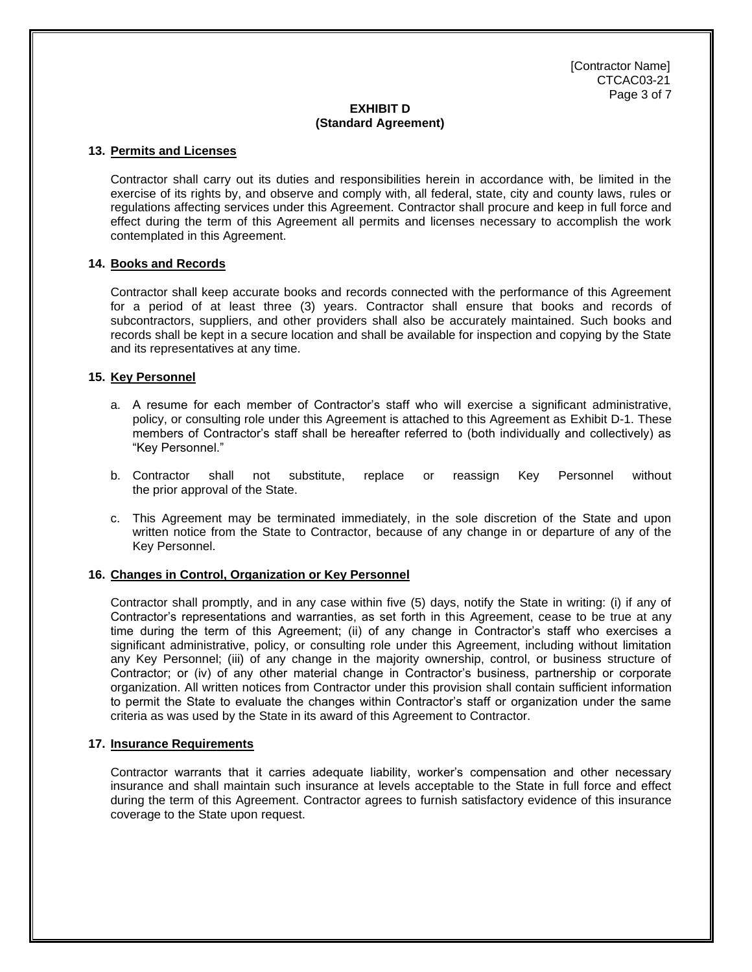[Contractor Name] CTCAC03-21 Page 3 of 7

#### **EXHIBIT D (Standard Agreement)**

#### **13. Permits and Licenses**

Contractor shall carry out its duties and responsibilities herein in accordance with, be limited in the exercise of its rights by, and observe and comply with, all federal, state, city and county laws, rules or regulations affecting services under this Agreement. Contractor shall procure and keep in full force and effect during the term of this Agreement all permits and licenses necessary to accomplish the work contemplated in this Agreement.

#### **14. Books and Records**

Contractor shall keep accurate books and records connected with the performance of this Agreement for a period of at least three (3) years. Contractor shall ensure that books and records of subcontractors, suppliers, and other providers shall also be accurately maintained. Such books and records shall be kept in a secure location and shall be available for inspection and copying by the State and its representatives at any time.

#### **15. Key Personnel**

- a. A resume for each member of Contractor's staff who will exercise a significant administrative, policy, or consulting role under this Agreement is attached to this Agreement as Exhibit D-1. These members of Contractor's staff shall be hereafter referred to (both individually and collectively) as "Key Personnel."
- b. Contractor shall not substitute, replace or reassign Key Personnel without the prior approval of the State.
- c. This Agreement may be terminated immediately, in the sole discretion of the State and upon written notice from the State to Contractor, because of any change in or departure of any of the Key Personnel.

#### **16. Changes in Control, Organization or Key Personnel**

Contractor shall promptly, and in any case within five (5) days, notify the State in writing: (i) if any of Contractor's representations and warranties, as set forth in this Agreement, cease to be true at any time during the term of this Agreement; (ii) of any change in Contractor's staff who exercises a significant administrative, policy, or consulting role under this Agreement, including without limitation any Key Personnel; (iii) of any change in the majority ownership, control, or business structure of Contractor; or (iv) of any other material change in Contractor's business, partnership or corporate organization. All written notices from Contractor under this provision shall contain sufficient information to permit the State to evaluate the changes within Contractor's staff or organization under the same criteria as was used by the State in its award of this Agreement to Contractor.

#### **17. Insurance Requirements**

Contractor warrants that it carries adequate liability, worker's compensation and other necessary insurance and shall maintain such insurance at levels acceptable to the State in full force and effect during the term of this Agreement. Contractor agrees to furnish satisfactory evidence of this insurance coverage to the State upon request.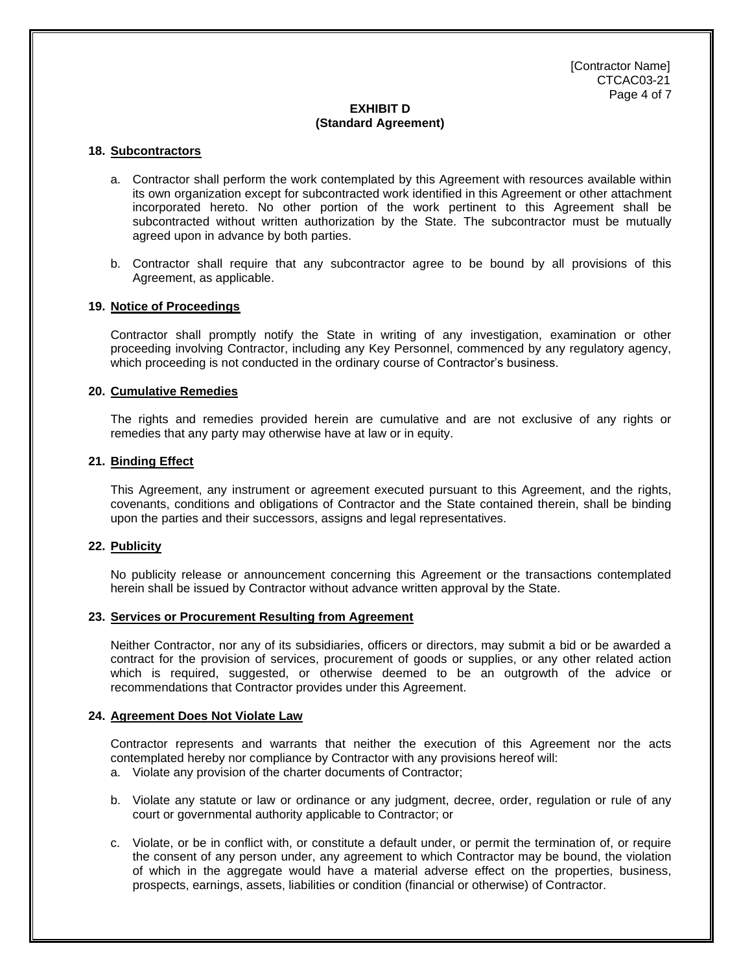[Contractor Name] CTCAC03-21 Page 4 of 7

#### **EXHIBIT D (Standard Agreement)**

#### **18. Subcontractors**

- a. Contractor shall perform the work contemplated by this Agreement with resources available within its own organization except for subcontracted work identified in this Agreement or other attachment incorporated hereto. No other portion of the work pertinent to this Agreement shall be subcontracted without written authorization by the State. The subcontractor must be mutually agreed upon in advance by both parties.
- b. Contractor shall require that any subcontractor agree to be bound by all provisions of this Agreement, as applicable.

#### **19. Notice of Proceedings**

Contractor shall promptly notify the State in writing of any investigation, examination or other proceeding involving Contractor, including any Key Personnel, commenced by any regulatory agency, which proceeding is not conducted in the ordinary course of Contractor's business.

#### **20. Cumulative Remedies**

The rights and remedies provided herein are cumulative and are not exclusive of any rights or remedies that any party may otherwise have at law or in equity.

#### **21. Binding Effect**

This Agreement, any instrument or agreement executed pursuant to this Agreement, and the rights, covenants, conditions and obligations of Contractor and the State contained therein, shall be binding upon the parties and their successors, assigns and legal representatives.

#### **22. Publicity**

No publicity release or announcement concerning this Agreement or the transactions contemplated herein shall be issued by Contractor without advance written approval by the State.

#### **23. Services or Procurement Resulting from Agreement**

Neither Contractor, nor any of its subsidiaries, officers or directors, may submit a bid or be awarded a contract for the provision of services, procurement of goods or supplies, or any other related action which is required, suggested, or otherwise deemed to be an outgrowth of the advice or recommendations that Contractor provides under this Agreement.

#### **24. Agreement Does Not Violate Law**

Contractor represents and warrants that neither the execution of this Agreement nor the acts contemplated hereby nor compliance by Contractor with any provisions hereof will:

- a. Violate any provision of the charter documents of Contractor;
- b. Violate any statute or law or ordinance or any judgment, decree, order, regulation or rule of any court or governmental authority applicable to Contractor; or
- c. Violate, or be in conflict with, or constitute a default under, or permit the termination of, or require the consent of any person under, any agreement to which Contractor may be bound, the violation of which in the aggregate would have a material adverse effect on the properties, business, prospects, earnings, assets, liabilities or condition (financial or otherwise) of Contractor.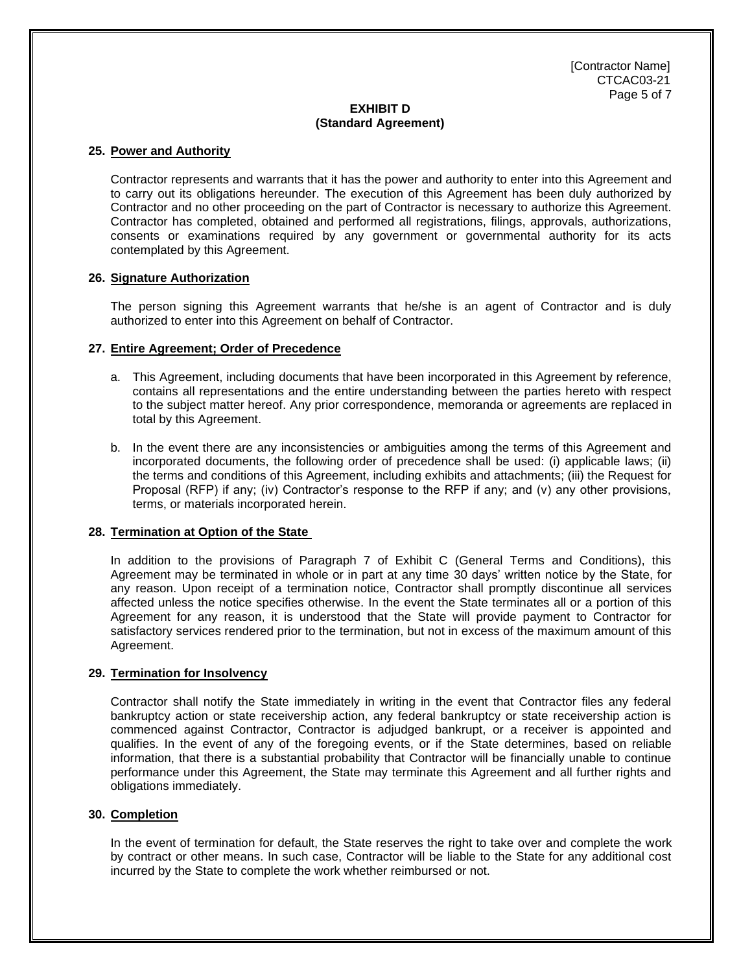[Contractor Name] CTCAC03-21 Page 5 of 7

#### **EXHIBIT D (Standard Agreement)**

#### **25. Power and Authority**

Contractor represents and warrants that it has the power and authority to enter into this Agreement and to carry out its obligations hereunder. The execution of this Agreement has been duly authorized by Contractor and no other proceeding on the part of Contractor is necessary to authorize this Agreement. Contractor has completed, obtained and performed all registrations, filings, approvals, authorizations, consents or examinations required by any government or governmental authority for its acts contemplated by this Agreement.

#### **26. Signature Authorization**

The person signing this Agreement warrants that he/she is an agent of Contractor and is duly authorized to enter into this Agreement on behalf of Contractor.

#### **27. Entire Agreement; Order of Precedence**

- a. This Agreement, including documents that have been incorporated in this Agreement by reference, contains all representations and the entire understanding between the parties hereto with respect to the subject matter hereof. Any prior correspondence, memoranda or agreements are replaced in total by this Agreement.
- b. In the event there are any inconsistencies or ambiguities among the terms of this Agreement and incorporated documents, the following order of precedence shall be used: (i) applicable laws; (ii) the terms and conditions of this Agreement, including exhibits and attachments; (iii) the Request for Proposal (RFP) if any; (iv) Contractor's response to the RFP if any; and (v) any other provisions, terms, or materials incorporated herein.

## **28. Termination at Option of the State**

In addition to the provisions of Paragraph 7 of Exhibit C (General Terms and Conditions), this Agreement may be terminated in whole or in part at any time 30 days' written notice by the State, for any reason. Upon receipt of a termination notice, Contractor shall promptly discontinue all services affected unless the notice specifies otherwise. In the event the State terminates all or a portion of this Agreement for any reason, it is understood that the State will provide payment to Contractor for satisfactory services rendered prior to the termination, but not in excess of the maximum amount of this Agreement.

#### **29. Termination for Insolvency**

Contractor shall notify the State immediately in writing in the event that Contractor files any federal bankruptcy action or state receivership action, any federal bankruptcy or state receivership action is commenced against Contractor, Contractor is adjudged bankrupt, or a receiver is appointed and qualifies. In the event of any of the foregoing events, or if the State determines, based on reliable information, that there is a substantial probability that Contractor will be financially unable to continue performance under this Agreement, the State may terminate this Agreement and all further rights and obligations immediately.

#### **30. Completion**

In the event of termination for default, the State reserves the right to take over and complete the work by contract or other means. In such case, Contractor will be liable to the State for any additional cost incurred by the State to complete the work whether reimbursed or not.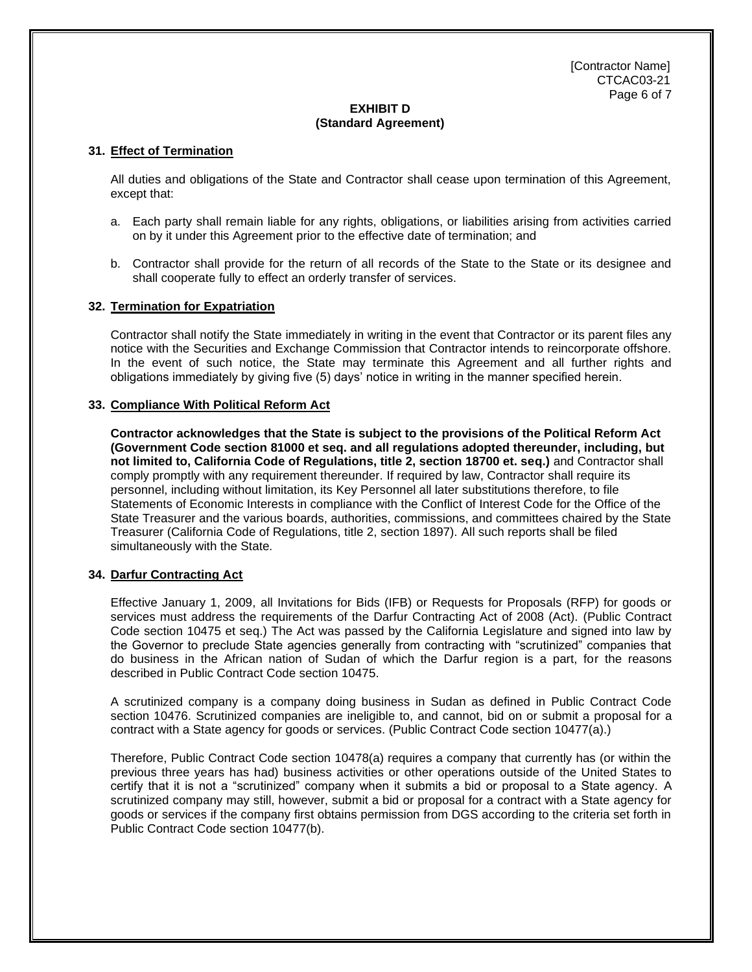[Contractor Name] CTCAC03-21 Page 6 of 7

#### **EXHIBIT D (Standard Agreement)**

#### **31. Effect of Termination**

All duties and obligations of the State and Contractor shall cease upon termination of this Agreement, except that:

- a. Each party shall remain liable for any rights, obligations, or liabilities arising from activities carried on by it under this Agreement prior to the effective date of termination; and
- b. Contractor shall provide for the return of all records of the State to the State or its designee and shall cooperate fully to effect an orderly transfer of services.

#### **32. Termination for Expatriation**

Contractor shall notify the State immediately in writing in the event that Contractor or its parent files any notice with the Securities and Exchange Commission that Contractor intends to reincorporate offshore. In the event of such notice, the State may terminate this Agreement and all further rights and obligations immediately by giving five (5) days' notice in writing in the manner specified herein.

#### **33. Compliance With Political Reform Act**

**Contractor acknowledges that the State is subject to the provisions of the Political Reform Act (Government Code section 81000 et seq. and all regulations adopted thereunder, including, but not limited to, California Code of Regulations, title 2, section 18700 et. seq.)** and Contractor shall comply promptly with any requirement thereunder. If required by law, Contractor shall require its personnel, including without limitation, its Key Personnel all later substitutions therefore, to file Statements of Economic Interests in compliance with the Conflict of Interest Code for the Office of the State Treasurer and the various boards, authorities, commissions, and committees chaired by the State Treasurer (California Code of Regulations, title 2, section 1897). All such reports shall be filed simultaneously with the State*.*

#### **34. Darfur Contracting Act**

Effective January 1, 2009, all Invitations for Bids (IFB) or Requests for Proposals (RFP) for goods or services must address the requirements of the Darfur Contracting Act of 2008 (Act). (Public Contract Code section 10475 et seq.) The Act was passed by the California Legislature and signed into law by the Governor to preclude State agencies generally from contracting with "scrutinized" companies that do business in the African nation of Sudan of which the Darfur region is a part, for the reasons described in Public Contract Code section 10475.

A scrutinized company is a company doing business in Sudan as defined in Public Contract Code section 10476. Scrutinized companies are ineligible to, and cannot, bid on or submit a proposal for a contract with a State agency for goods or services. (Public Contract Code section 10477(a).)

Therefore, Public Contract Code section 10478(a) requires a company that currently has (or within the previous three years has had) business activities or other operations outside of the United States to certify that it is not a "scrutinized" company when it submits a bid or proposal to a State agency. A scrutinized company may still, however, submit a bid or proposal for a contract with a State agency for goods or services if the company first obtains permission from DGS according to the criteria set forth in Public Contract Code section 10477(b).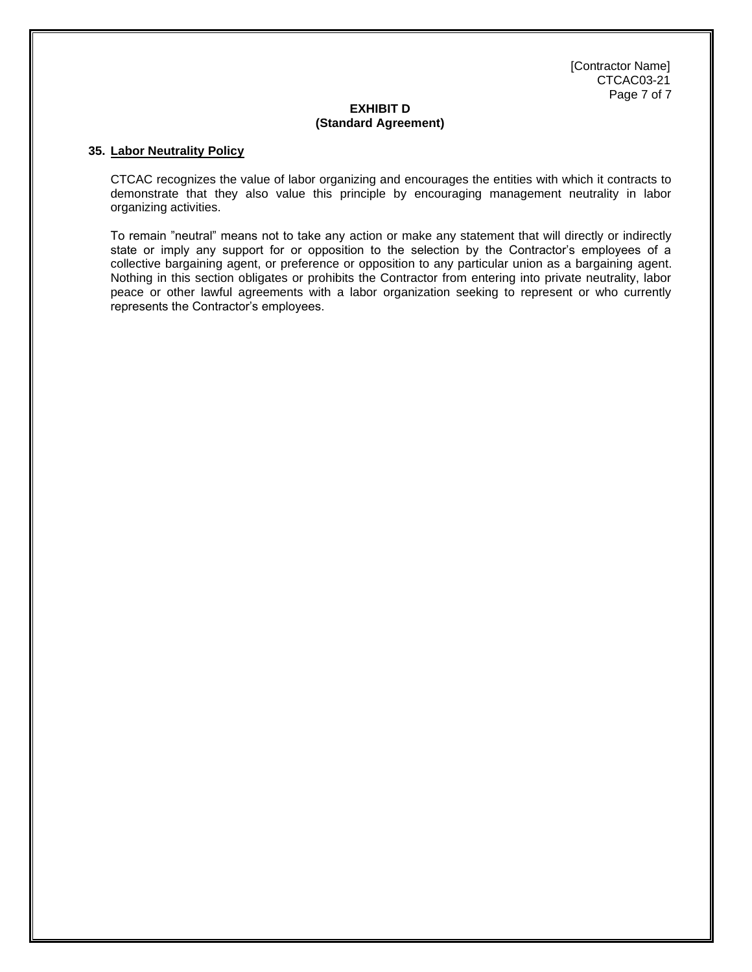[Contractor Name] CTCAC03-21 Page 7 of 7

#### **EXHIBIT D (Standard Agreement)**

#### **35. Labor Neutrality Policy**

CTCAC recognizes the value of labor organizing and encourages the entities with which it contracts to demonstrate that they also value this principle by encouraging management neutrality in labor organizing activities.

To remain "neutral" means not to take any action or make any statement that will directly or indirectly state or imply any support for or opposition to the selection by the Contractor's employees of a collective bargaining agent, or preference or opposition to any particular union as a bargaining agent. Nothing in this section obligates or prohibits the Contractor from entering into private neutrality, labor peace or other lawful agreements with a labor organization seeking to represent or who currently represents the Contractor's employees.